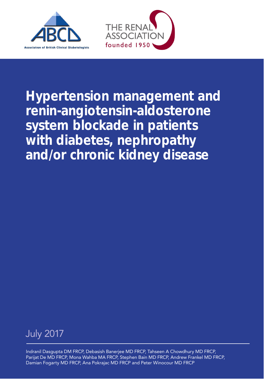



Hypertension management and renin-angiotensin-aldosterone system blockade in patients with diabetes, nephropathy and/or chronic kidney disease



Indranil Dasgupta DM FRCP, Debasish Banerjee MD FRCP, Tahseen A Chowdhury MD FRCP, Parijat De MD FRCP, Mona Wahba MA FRCP, Stephen Bain MD FRCP, Andrew Frankel MD FRCP, Damian Fogarty MD FRCP, Ana Pokrajac MD FRCP and Peter Winocour MD FRCP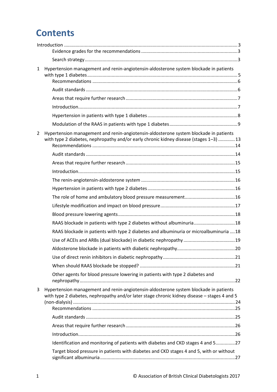# **Contents**

| $\mathbf{1}$   | Hypertension management and renin-angiotensin-aldosterone system blockade in patients                                                                                                 |  |
|----------------|---------------------------------------------------------------------------------------------------------------------------------------------------------------------------------------|--|
|                |                                                                                                                                                                                       |  |
|                |                                                                                                                                                                                       |  |
|                |                                                                                                                                                                                       |  |
|                |                                                                                                                                                                                       |  |
|                |                                                                                                                                                                                       |  |
| $\overline{2}$ | Hypertension management and renin-angiotensin-aldosterone system blockade in patients<br>with type 2 diabetes, nephropathy and/or early chronic kidney disease (stages 1-3)  13       |  |
|                |                                                                                                                                                                                       |  |
|                |                                                                                                                                                                                       |  |
|                |                                                                                                                                                                                       |  |
|                |                                                                                                                                                                                       |  |
|                |                                                                                                                                                                                       |  |
|                |                                                                                                                                                                                       |  |
|                |                                                                                                                                                                                       |  |
|                |                                                                                                                                                                                       |  |
|                | RAAS blockade in patients with type 2 diabetes without albuminuria18                                                                                                                  |  |
|                | RAAS blockade in patients with type 2 diabetes and albuminuria or microalbuminuria  18                                                                                                |  |
|                |                                                                                                                                                                                       |  |
|                |                                                                                                                                                                                       |  |
|                |                                                                                                                                                                                       |  |
|                |                                                                                                                                                                                       |  |
|                | Other agents for blood pressure lowering in patients with type 2 diabetes and                                                                                                         |  |
| 3              | Hypertension management and renin-angiotensin-aldosterone system blockade in patients<br>with type 2 diabetes, nephropathy and/or later stage chronic kidney disease - stages 4 and 5 |  |
|                |                                                                                                                                                                                       |  |
|                |                                                                                                                                                                                       |  |
|                |                                                                                                                                                                                       |  |
|                |                                                                                                                                                                                       |  |
|                | Identification and monitoring of patients with diabetes and CKD stages 4 and 527                                                                                                      |  |
|                | Target blood pressure in patients with diabetes and CKD stages 4 and 5, with or without                                                                                               |  |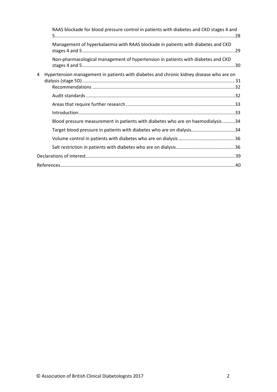|   | RAAS blockade for blood pressure control in patients with diabetes and CKD stages 4 and |
|---|-----------------------------------------------------------------------------------------|
|   | Management of hyperkalaemia with RAAS blockade in patients with diabetes and CKD        |
|   | Non-pharmacological management of hypertension in patients with diabetes and CKD        |
| 4 | Hypertension management in patients with diabetes and chronic kidney disease who are on |
|   |                                                                                         |
|   |                                                                                         |
|   |                                                                                         |
|   | Blood pressure measurement in patients with diabetes who are on haemodialysis34         |
|   | Target blood pressure in patients with diabetes who are on dialysis34                   |
|   |                                                                                         |
|   |                                                                                         |
|   |                                                                                         |
|   |                                                                                         |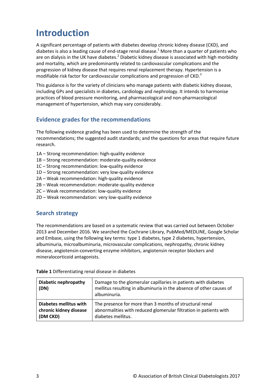# <span id="page-3-0"></span>**Introduction**

A significant percentage of patients with diabetes develop chronic kidney disease (CKD), and diabetes is also a leading cause of end-stage renal disease.<sup>1</sup> More than a quarter of patients who are on dialysis in the UK have diabetes.<sup>2</sup> Diabetic kidney disease is associated with high morbidity and mortality, which are predominantly related to cardiovascular complications and the progression of kidney disease that requires renal replacement therapy. Hypertension is a modifiable risk factor for cardiovascular complications and progression of CKD.<sup>3</sup>

This guidance is for the variety of clinicians who manage patients with diabetic kidney disease, including GPs and specialists in diabetes, cardiology and nephrology. It intends to harmonise practices of blood pressure monitoring, and pharmacological and non-pharmacological management of hypertension, which may vary considerably.

# <span id="page-3-1"></span>**Evidence grades for the recommendations**

The following evidence grading has been used to determine the strength of the recommendations; the suggested audit standards; and the questions for areas that require future research.

- 1A Strong recommendation: high-quality evidence
- 1B Strong recommendation: moderate-quality evidence
- 1C Strong recommendation: low-quality evidence
- 1D Strong recommendation: very low-quality evidence
- 2A Weak recommendation: high-quality evidence
- 2B Weak recommendation: moderate-quality evidence
- 2C Weak recommendation: low-quality evidence
- 2D Weak recommendation: very low-quality evidence

## <span id="page-3-2"></span>**Search strategy**

The recommendations are based on a systematic review that was carried out between October 2013 and December 2016. We searched the Cochrane Library, PubMed/MEDLINE, Google Scholar and Embase, using the following key terms: type 1 diabetes, type 2 diabetes, hypertension, albuminuria, microalbuminuria, microvascular complications, nephropathy, chronic kidney disease, angiotensin-converting enzyme inhibitors, angiotensin receptor blockers and mineralocorticoid antagonists.

| Diabetic nephropathy<br>(DN) | Damage to the glomerular capillaries in patients with diabetes<br>mellitus resulting in albuminuria in the absence of other causes of<br>albuminuria. |  |  |
|------------------------------|-------------------------------------------------------------------------------------------------------------------------------------------------------|--|--|
| Diabetes mellitus with       | The presence for more than 3 months of structural renal                                                                                               |  |  |
| chronic kidney disease       | abnormalities with reduced glomerular filtration in patients with                                                                                     |  |  |
| (DM CKD)                     | diabetes mellitus.                                                                                                                                    |  |  |

**Table 1** Differentiating renal disease in diabetes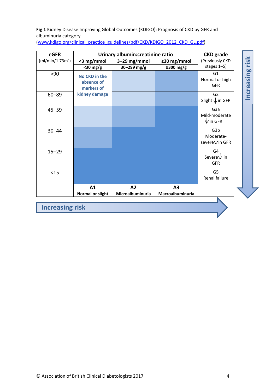#### **Fig 1** Kidney Disease Improving Global Outcomes (KDIGO): Prognosis of CKD by GFR and albuminuria category

**eGFR Urinary albumin:creatinine ratio CKD grade** Increasing risk **Increasing risk**  $(mI/min/1.73m<sup>2</sup>)$ (Previously CKD **<3 mg/mmol 3–29 mg/mmol ≥30 mg/mmol <30 mg/g 30–299 mg/g ≥300 mg/g** stages 1–5) >90 **No CKD in the** G1 Normal or high **absence of** GFR **markers of kidney damage** 60–89 G2 Slight ↓ in GFR 45–59 G3a Mild‐moderate  $\sqrt{}$  in GFR 30–44 | G3b Moderate‐ severe  $\sqrt{}$  in GFR 15–29 G4 Severe  $\sqrt{\ }$  in GFR <15 G5 Renal failure **A2 A3 A1 Macroalbuminuria Normal or slight Microalbuminuria Increasing risk**

(www.kdigo.org/clinical\_practice\_guidelines/pdf/CKD/KDIGO\_2012\_CKD\_GL.pdf)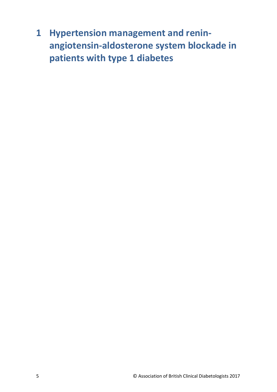<span id="page-5-0"></span>**1 Hypertension management and reninangiotensin-aldosterone system blockade in patients with type 1 diabetes**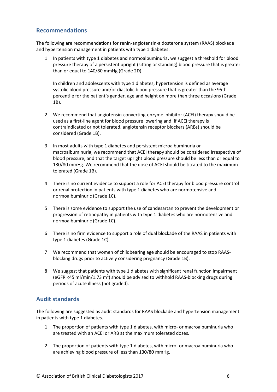# <span id="page-6-0"></span>**Recommendations**

The following are recommendations for renin-angiotensin-aldosterone system (RAAS) blockade and hypertension management in patients with type 1 diabetes.

1 In patients with type 1 diabetes and normoalbuminuria, we suggest a threshold for blood pressure therapy of a persistent upright (sitting or standing) blood pressure that is greater than or equal to 140/80 mmHg (Grade 2D).

In children and adolescents with type 1 diabetes, hypertension is defined as average systolic blood pressure and/or diastolic blood pressure that is greater than the 95th percentile for the patient's gender, age and height on more than three occasions (Grade 1B).

- 2 We recommend that angiotensin-converting-enzyme inhibitor (ACEI) therapy should be used as a first-line agent for blood pressure lowering and, if ACEI therapy is contraindicated or not tolerated, angiotensin receptor blockers (ARBs) should be considered (Grade 1B).
- 3 In most adults with type 1 diabetes and persistent microalbuminuria or macroalbuminuria, we recommend that ACEI therapy should be considered irrespective of blood pressure, and that the target upright blood pressure should be less than or equal to 130/80 mmHg. We recommend that the dose of ACEI should be titrated to the maximum tolerated (Grade 1B).
- 4 There is no current evidence to support a role for ACEI therapy for blood pressure control or renal protection in patients with type 1 diabetes who are normotensive and normoalbuminuric (Grade 1C).
- 5 There is some evidence to support the use of candesartan to prevent the development or progression of retinopathy in patients with type 1 diabetes who are normotensive and normoalbuminuric (Grade 1C).
- 6 There is no firm evidence to support a role of dual blockade of the RAAS in patients with type 1 diabetes (Grade 1C).
- 7 We recommend that women of childbearing age should be encouraged to stop RAASblocking drugs prior to actively considering pregnancy (Grade 1B).
- 8 We suggest that patients with type 1 diabetes with significant renal function impairment (eGFR <45 ml/min/1.73 m<sup>2</sup>) should be advised to withhold RAAS-blocking drugs during periods of acute illness (not graded).

## <span id="page-6-1"></span>**Audit standards**

The following are suggested as audit standards for RAAS blockade and hypertension management in patients with type 1 diabetes.

- 1 The proportion of patients with type 1 diabetes, with micro- or macroalbuminuria who are treated with an ACEI or ARB at the maximum tolerated doses.
- 2 The proportion of patients with type 1 diabetes, with micro- or macroalbuminuria who are achieving blood pressure of less than 130/80 mmHg.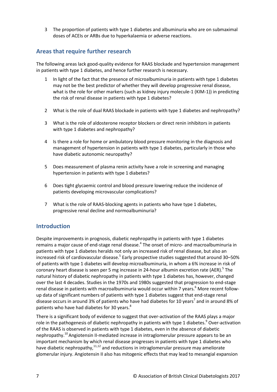3 The proportion of patients with type 1 diabetes and albuminuria who are on submaximal doses of ACEIs or ARBs due to hyperkalaemia or adverse reactions.

# <span id="page-7-0"></span>**Areas that require further research**

The following areas lack good-quality evidence for RAAS blockade and hypertension management in patients with type 1 diabetes, and hence further research is necessary.

- 1 In light of the fact that the presence of microalbuminuria in patients with type 1 diabetes may not be the best predictor of whether they will develop progressive renal disease, what is the role for other markers (such as kidney injury molecule-1 (KIM-1)) in predicting the risk of renal disease in patients with type 1 diabetes?
- 2 What is the role of dual RAAS blockade in patients with type 1 diabetes and nephropathy?
- 3 What is the role of aldosterone receptor blockers or direct renin inhibitors in patients with type 1 diabetes and nephropathy?
- 4 Is there a role for home or ambulatory blood pressure monitoring in the diagnosis and management of hypertension in patients with type 1 diabetes, particularly in those who have diabetic autonomic neuropathy?
- 5 Does measurement of plasma renin activity have a role in screening and managing hypertension in patients with type 1 diabetes?
- 6 Does tight glycaemic control and blood pressure lowering reduce the incidence of patients developing microvascular complications?
- 7 What is the role of RAAS-blocking agents in patients who have type 1 diabetes, progressive renal decline and normoalbuminuria?

## <span id="page-7-1"></span>**Introduction**

Despite improvements in prognosis, diabetic nephropathy in patients with type 1 diabetes remains a major cause of end-stage renal disease.<sup>4</sup> The onset of micro- and macroalbuminuria in patients with type 1 diabetes heralds not only an increased risk of renal disease, but also an increased risk of cardiovascular disease.<sup>5</sup> Early prospective studies suggested that around 30–50% of patients with type 1 diabetes will develop microalbuminuria, in whom a 6% increase in risk of coronary heart disease is seen per 5 mg increase in 24-hour albumin excretion rate (AER).<sup>5</sup> The natural history of diabetic nephropathy in patients with type 1 diabetes has, however, changed over the last 4 decades. Studies in the 1970s and 1980s suggested that progression to end-stage renal disease in patients with macroalbuminuria would occur within 7 years.<sup>6</sup> More recent followup data of significant numbers of patients with type 1 diabetes suggest that end-stage renal disease occurs in around 3% of patients who have had diabetes for 10 years<sup>7</sup> and in around 8% of patients who have had diabetes for 30 years.<sup>8</sup>

There is a significant body of evidence to suggest that over-activation of the RAAS plays a major role in the pathogenesis of diabetic nephropathy in patients with type 1 diabetes.<sup>9</sup> Over-activation of the RAAS is observed in patients with type 1 diabetes, even in the absence of diabetic nephropathy.<sup>10</sup> Angiotensin II-mediated increase in intraglomerular pressure appears to be an important mechanism by which renal disease progresses in patients with type 1 diabetes who have diabetic nephropathy,<sup>11,12</sup> and reductions in intraglomerular pressure may ameliorate glomerular injury. Angiotensin II also has mitogenic effects that may lead to mesangial expansion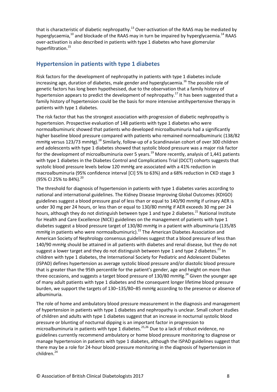that is characteristic of diabetic nephropathy.<sup>13</sup> Over-activation of the RAAS may be mediated by hyperglycaemia,<sup>10</sup> and blockade of the RAAS may in turn be impaired by hyperglycaemia.<sup>14</sup> RAAS over-activation is also described in patients with type 1 diabetes who have glomerular hyperfiltration. 15

## <span id="page-8-0"></span>**Hypertension in patients with type 1 diabetes**

Risk factors for the development of nephropathy in patients with type 1 diabetes include increasing age, duration of diabetes, male gender and hyperglycaemia.<sup>16</sup> The possible role of genetic factors has long been hypothesised, due to the observation that a family history of hypertension appears to predict the development of nephropathy.<sup>17</sup> It has been suggested that a family history of hypertension could be the basis for more intensive antihypertensive therapy in patients with type 1 diabetes.

The risk factor that has the strongest association with progression of diabetic nephropathy is hypertension. Prospective evaluation of 148 patients with type 1 diabetes who were normoalbuminuric showed that patients who developed microalbuminuria had a significantly higher baseline blood pressure compared with patients who remained normoalbuminuric (138/82 mmHg versus 123/73 mmHg).<sup>18</sup> Similarly, follow-up of a Scandinavian cohort of over 300 children and adolescents with type 1 diabetes showed that systolic blood pressure was a major risk factor for the development of microalbuminuria over 5 years.<sup>19</sup> More recently, analysis of 1,441 patients with type 1 diabetes in the Diabetes Control and Complications Trial (DCCT) cohorts suggests that systolic blood pressure levels below 120 mmHg are associated with a 41% reduction in macroalbuminuria (95% confidence interval [CI] 5% to 63%) and a 68% reduction in CKD stage 3 (95% CI 25% to 84%).<sup>20</sup>

The threshold for diagnosis of hypertension in patients with type 1 diabetes varies according to national and international guidelines. The Kidney Disease Improving Global Outcomes (KDIGO) guidelines suggest a blood pressure goal of less than or equal to 140/90 mmHg if urinary AER is under 30 mg per 24 hours, or less than or equal to 130/80 mmHg if AER exceeds 30 mg per 24 hours, although they do not distinguish between type 1 and type 2 diabetes.<sup>21</sup> National Institute for Health and Care Excellence (NICE) guidelines on the management of patients with type 1 diabetes suggest a blood pressure target of 130/80 mmHg in a patient with albuminuria (135/85 mmHg in patients who were normoalbuminuric).<sup>22</sup> The American Diabetes Association and American Society of Nephrology consensus guidelines suggest that a blood pressure of less than 140/90 mmHg should be attained in all patients with diabetes and renal disease, but they do not suggest a lower target and they do not distinguish between type 1 and type 2 diabetes.<sup>23</sup> In children with type 1 diabetes, the International Society for Pediatric and Adolescent Diabetes (ISPAD) defines hypertension as average systolic blood pressure and/or diastolic blood pressure that is greater than the 95th percentile for the patient's gender, age and height on more than three occasions, and suggests a target blood pressure of 130/80 mmHg.<sup>24</sup> Given the younger age of many adult patients with type 1 diabetes and the consequent longer lifetime blood pressure burden, we support the targets of 130–135/80–85 mmHg according to the presence or absence of albuminuria.

The role of home and ambulatory blood pressure measurement in the diagnosis and management of hypertension in patients with type 1 diabetes and nephropathy is unclear. Small cohort studies of children and adults with type 1 diabetes suggest that an increase in nocturnal systolic blood pressure or blunting of nocturnal dipping is an important factor in progression to microalbuminuria in patients with type 1 diabetes. 25,26 Due to a lack of robust evidence, no guidelines currently recommend ambulatory or home blood pressure monitoring to diagnose or manage hypertension in patients with type 1 diabetes, although the ISPAD guidelines suggest that there may be a role for 24-hour blood pressure monitoring in the diagnosis of hypertension in children. 24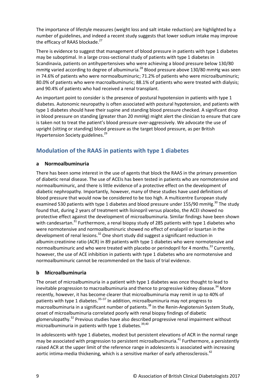The importance of lifestyle measures (weight loss and salt intake reduction) are highlighted by a number of guidelines, and indeed a recent study suggests that lower sodium intake may improve the efficacy of RAAS blockade.<sup>27</sup>

There is evidence to suggest that management of blood pressure in patients with type 1 diabetes may be suboptimal. In a large cross-sectional study of patients with type 1 diabetes in Scandinavia, patients on antihypertensives who were achieving a blood pressure below 130/80 mmHg varied according to degree of albuminuria.<sup>28</sup> Blood pressure above 130/80 mmHg was seen in 74.6% of patients who were normoalbuminuric; 71.2% of patients who were microalbuminuric; 80.0% of patients who were macroalbuminuric; 88.1% of patients who were treated with dialysis; and 90.4% of patients who had received a renal transplant.

An important point to consider is the presence of postural hypotension in patients with type 1 diabetes. Autonomic neuropathy is often associated with postural hypotension, and patients with type 1 diabetes should have their supine and standing blood pressure checked. A significant drop in blood pressure on standing (greater than 20 mmHg) might alert the clinician to ensure that care is taken not to treat the patient's blood pressure over-aggressively. We advocate the use of upright (sitting or standing) blood pressure as the target blood pressure, as per British Hypertension Society guidelines.<sup>29</sup>

# <span id="page-9-0"></span>**Modulation of the RAAS in patients with type 1 diabetes**

### **a Normoalbuminuria**

There has been some interest in the use of agents that block the RAAS in the primary prevention of diabetic renal disease. The use of ACEIs has been tested in patients who are normotensive and normoalbuminuric, and there is little evidence of a protective effect on the development of diabetic nephropathy. Importantly, however, many of these studies have used definitions of blood pressure that would now be considered to be too high. A multicentre European study examined 530 patients with type 1 diabetes and blood pressure under 155/90 mmHg.<sup>30</sup> The study found that, during 2 years of treatment with lisinopril versus placebo, the ACEI showed no protective effect against the development of microalbuminuria. Similar findings have been shown with candesartan.<sup>31</sup> Furthermore, a renal biopsy study of 285 patients with type 1 diabetes who were normotensive and normoalbuminuric showed no effect of enalapril or losartan in the development of renal lesions.<sup>32</sup> One short study did suggest a significant reduction in albumin:creatinine ratio (ACR) in 89 patients with type 1 diabetes who were normotensive and normoalbuminuric and who were treated with placebo or perindopril for 4 months.<sup>33</sup> Currently, however, the use of ACE inhibition in patients with type 1 diabetes who are normotensive and normoalbuminuric cannot be recommended on the basis of trial evidence.

### **b Microalbuminuria**

The onset of microalbuminuria in a patient with type 1 diabetes was once thought to lead to inevitable progression to macroalbuminuria and thence to progressive kidney disease.<sup>34</sup> More recently, however, it has become clearer that microalbuminuria may remit in up to 40% of patients with type 1 diabetes.<sup>35–37</sup> In addition, microalbuminuria may not progress to macroalbuminuria in a significant number of patients.<sup>38</sup> In the Renin-Angiotensin System Study, onset of microalbuminuria correlated poorly with renal biopsy findings of diabetic glomerulopathy.<sup>32</sup> Previous studies have also described progressive renal impairment without microalbuminuria in patients with type 1 diabetes.<sup>39,40</sup>

In adolescents with type 1 diabetes, modest but persistent elevations of ACR in the normal range may be associated with progression to persistent microalbuminuria.<sup>41</sup> Furthermore, a persistently raised ACR at the upper limit of the reference range in adolescents is associated with increasing aortic intima-media thickening, which is a sensitive marker of early atherosclerosis.<sup>42</sup>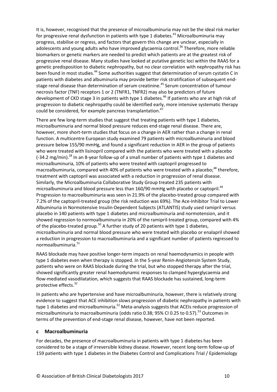It is, however, recognised that the presence of microalbuminuria may not be the ideal risk marker for progressive renal dysfunction in patients with type 1 diabetes.<sup>43</sup> Microalbuminuria may progress, stabilise or regress, and factors that govern this change are unclear, especially in adolescents and young adults who have improved glycaemia control.<sup>36</sup> Therefore, more reliable biomarkers or genetic markers are needed to predict which patients are at the greatest risk of progressive renal disease. Many studies have looked at putative genetic loci within the RAAS for a genetic predisposition to diabetic nephropathy, but no clear correlation with nephropathy risk has been found in most studies.<sup>44</sup> Some authorities suggest that determination of serum cystatin C in patients with diabetes and albuminuria may provide better risk stratification of subsequent endstage renal disease than determination of serum creatinine. <sup>45</sup> Serum concentration of tumour necrosis factor (TNF) receptors 1 or 2 (TNFR1, TNFR2) may also be predictors of future development of CKD stage 3 in patients with type 1 diabetes.<sup>46</sup> If patients who are at high risk of progression to diabetic nephropathy could be identified early, more intensive systematic therapy could be considered, for example pancreas transplantation.<sup>47</sup>

There are few long-term studies that suggest that treating patients with type 1 diabetes, microalbuminuria and normal blood pressure reduces end-stage renal disease. There are, however, more short-term studies that focus on a change in AER rather than a change in renal function. A multicentre European study examined 79 patients with microalbuminuria and blood pressure below 155/90 mmHg, and found a significant reduction in AER in the group of patients who were treated with lisinopril compared with the patients who were treated with a placebo (-34.2 mg/min). <sup>28</sup> In an 8-year follow-up of a small number of patients with type 1 diabetes and microalbuminuria, 10% of patients who were treated with captopril progressed to macroalbuminuria, compared with 40% of patients who were treated with a placebo;<sup>48</sup> therefore, treatment with captopril was associated with a reduction in progression of renal disease. Similarly, the Microalbuminuria Collaborative Study Group treated 235 patients with microalbuminuria and blood pressure less than 160/90 mmHg with placebo or captopril.<sup>49</sup> Progression to macroalbuminuria was seen in 21.9% of the placebo-treated group compared with 7.2% of the captopril-treated group (the risk reduction was 69%). The Ace-Inhibitor Trial to Lower Albuminuria in Normotensive Insulin-Dependent Subjects (ATLANTIS) study used ramipril versus placebo in 140 patients with type 1 diabetes and microalbuminuria and normotension, and it showed regression to normoalbuminuria in 20% of the ramipril-treated group, compared with 4% of the placebo-treated group.<sup>50</sup> A further study of 20 patients with type 1 diabetes, microalbuminuria and normal blood pressure who were treated with placebo or enalapril showed a reduction in progression to macroalbuminuria and a significant number of patients regressed to normoalbuminuria. 51

RAAS blockade may have positive longer-term impacts on renal haemodynamics in people with type 1 diabetes even when therapy is stopped. In the 5-year Renin-Angiotensin System Study, patients who were on RAAS blockade during the trial, but who stopped therapy after the trial, showed significantly greater renal haemodynamic responses to clamped hyperglycaemia and flow-mediated vasodilatation, which suggests that RAAS blockade has sustained, long-term protective effects.<sup>32</sup>

In patients who are hypertensive and have microalbuminuria, however, there is relatively strong evidence to suggest that ACE inhibition slows progression of diabetic nephropathy in patients with type 1 diabetes and microalbuminuria.<sup>52</sup> Meta-analysis suggests that ACEIs reduce progression of microalbuminuria to macroalbuminuria (odds ratio 0.38; 95% CI 0.25 to 0.57). <sup>53</sup> Outcomes in terms of the prevention of end-stage renal disease, however, have not been reported.

#### **c Macroalbuminuria**

For decades, the presence of macroalbuminuria in patients with type 1 diabetes has been considered to be a stage of irreversible kidney disease. However, recent long-term follow-up of 159 patients with type 1 diabetes in the Diabetes Control and Complications Trial / Epidemiology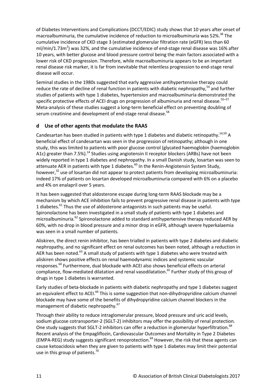of Diabetes Interventions and Complications (DCCT/EDIC) study shows that 10 years after onset of macroalbuminuria, the cumulative incidence of reduction to microalbuminuria was 52%.<sup>38</sup> The cumulative incidence of CKD stage 3 (estimated glomerular filtration rate (eGFR) less than 60 ml/min/1.73m<sup>2</sup>) was 32%, and the cumulative incidence of end-stage renal disease was 16% after 10 years, with better glucose and blood pressure control being the main factors associated with a lower risk of CKD progression. Therefore, while macroalbuminuria appears to be an important renal disease risk marker, it is far from inevitable that relentless progression to end-stage renal disease will occur.

Seminal studies in the 1980s suggested that early aggressive antihypertensive therapy could reduce the rate of decline of renal function in patients with diabetic nephropathy,<sup>54</sup> and further studies of patients with type 1 diabetes, hypertension and macroalbuminuria demonstrated the specific protective effects of ACEI drugs on progression of albuminuria and renal disease.<sup>55–57</sup> Meta-analysis of these studies suggest a long-term beneficial effect on preventing doubling of serum creatinine and development of end-stage renal disease.<sup>58</sup>

### **d Use of other agents that modulate the RAAS**

Candesartan has been studied in patients with type 1 diabetes and diabetic retinopathy.<sup>14,59</sup> A beneficial effect of candesartan was seen in the progression of retinopathy; although in one study, this was limited to patients with poor glucose control (glycated haemoglobin (haemoglobin A1c) greater than 7.5%).<sup>14</sup> Studies using angiotensin II receptor blockers (ARBs) have not been widely reported in type 1 diabetes and nephropathy. In a small Danish study, losartan was seen to attenuate AER in patients with type 1 diabetes.<sup>60</sup> In the Renin-Angiotensin System Study, however,<sup>32</sup> use of losartan did not appear to protect patients from developing microalbuminuria: indeed 17% of patients on losartan developed microalbuminuria compared with 6% on a placebo and 4% on enalapril over 5 years.

It has been suggested that aldosterone escape during long-term RAAS blockade may be a mechanism by which ACE inhibition fails to prevent progressive renal disease in patients with type 1 diabetes.<sup>61</sup> Thus the use of aldosterone antagonists in such patients may be useful. Spironolactone has been investigated in a small study of patients with type 1 diabetes and microalbuminuria.<sup>62</sup> Spironolactone added to standard antihypertensive therapy reduced AER by 60%, with no drop in blood pressure and a minor drop in eGFR, although severe hyperkalaemia was seen in a small number of patients.

Aliskiren, the direct renin inhibitor, has been trialled in patients with type 2 diabetes and diabetic nephropathy, and no significant effect on renal outcomes has been noted, although a reduction in AER has been noted.<sup>63</sup> A small study of patients with type 1 diabetes who were treated with aliskiren shows positive effects on renal haemodynamic indices and systemic vascular responses.<sup>64</sup> Furthermore, dual blockade with ACEI also shows beneficial effects on arterial compliance, flow-mediated dilatation and renal vasodilatation. <sup>65</sup> Further study of this group of drugs in type 1 diabetes is warranted.

Early studies of beta-blockade in patients with diabetic nephropathy and type 1 diabetes suggest an equivalent effect to ACEI.<sup>66</sup> This is some suggestion that non-dihydropyridine calcium channel blockade may have some of the benefits of dihydropyridine calcium channel blockers in the management of diabetic nephropathy.<sup>67</sup>

Through their ability to reduce intraglomerular pressure, blood pressure and uric acid levels, sodium glucose cotransporter-2 (SGLT-2) inhibitors may offer the possibility of renal protection. One study suggests that SGLT-2 inhibitors can offer a reduction in glomerular hyperfiltration.<sup>68</sup> Recent analysis of the Empagliflozin, Cardiovascular Outcomes and Mortality in Type 2 Diabetes (EMPA-REG) study suggests significant renoprotection. <sup>69</sup> However, the risk that these agents can cause ketoacidosis when they are given to patients with type 1 diabetes may limit their potential use in this group of patients.<sup>70</sup>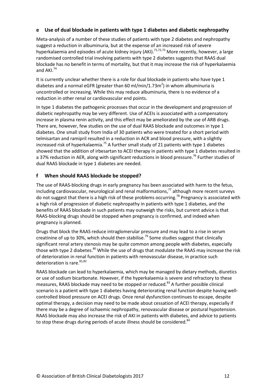#### **e Use of dual blockade in patients with type 1 diabetes and diabetic nephropathy**

Meta-analysis of a number of these studies of patients with type 2 diabetes and nephropathy suggest a reduction in albuminuria, but at the expense of an increased risk of severe hyperkalaemia and episodes of acute kidney injury (AKI).<sup>71,72,73</sup> More recently, however, a large randomised controlled trial involving patients with type 2 diabetes suggests that RAAS dual blockade has no benefit in terms of mortality, but that it may increase the risk of hyperkalaemia and AKI. 74

It is currently unclear whether there is a role for dual blockade in patients who have type 1 diabetes and a normal eGFR (greater than 60 ml/min/1.73m<sup>2</sup>) in whom albuminuria is uncontrolled or increasing. While this may reduce albuminuria, there is no evidence of a reduction in other renal or cardiovascular end points.

In type 1 diabetes the pathogenic processes that occur in the development and progression of diabetic nephropathy may be very different. Use of ACEIs is associated with a compensatory increase in plasma renin activity, and this effect may be ameliorated by the use of ARB drugs. There are, however, few studies on the use of dual RAAS blockade and outcomes in type 1 diabetes. One small study from India of 30 patients who were treated for a short period with telmisartan and ramipril resulted in a reduction in ACR and blood pressure, with a slightly increased risk of hyperkalaemia.<sup>75</sup> A further small study of 21 patients with type 1 diabetes showed that the addition of irbesartan to ACEI therapy in patients with type 1 diabetes resulted in a 37% reduction in AER, along with significant reductions in blood pressure.<sup>76</sup> Further studies of dual RAAS blockade in type 1 diabetes are needed.

#### **f When should RAAS blockade be stopped?**

The use of RAAS-blocking drugs in early pregnancy has been associated with harm to the fetus, including cardiovascular, neurological and renal malformations, <sup>77</sup> although more recent surveys do not suggest that there is a high risk of these problems occurring.<sup>78</sup> Pregnancy is associated with a high risk of progression of diabetic nephropathy in patients with type 1 diabetes, and the benefits of RAAS blockade in such patients may outweigh the risks, but current advice is that RAAS-blocking drugs should be stopped when pregnancy is confirmed, and indeed when pregnancy is planned.

Drugs that block the RAAS reduce intraglomerular pressure and may lead to a rise in serum creatinine of up to 30%, which should then stabilise.<sup>79</sup> Some studies suggest that clinically significant renal artery stenosis may be quite common among people with diabetes, especially those with type 2 diabetes.<sup>80</sup> While the use of drugs that modulate the RAAS may increase the risk of deterioration in renal function in patients with renovascular disease, in practice such deterioration is rare.<sup>81,82</sup>

RAAS blockade can lead to hyperkalaemia, which may be managed by dietary methods, diuretics or use of sodium bicarbonate. However, if the hyperkalaemia is severe and refractory to these measures, RAAS blockade may need to be stopped or reduced.<sup>83</sup> A further possible clinical scenario is a patient with type 1 diabetes having deteriorating renal function despite having wellcontrolled blood pressure on ACEI drugs. Once renal dysfunction continues to escape, despite optimal therapy, a decision may need to be made about cessation of ACEI therapy, especially if there may be a degree of ischaemic nephropathy, renovascular disease or postural hypotension. RAAS blockade may also increase the risk of AKI in patients with diabetes, and advice to patients to stop these drugs during periods of acute illness should be considered.<sup>84</sup>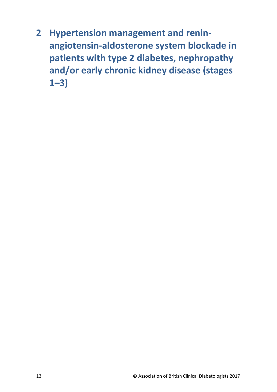<span id="page-13-0"></span>**2 Hypertension management and reninangiotensin-aldosterone system blockade in patients with type 2 diabetes, nephropathy and/or early chronic kidney disease (stages 1–3)**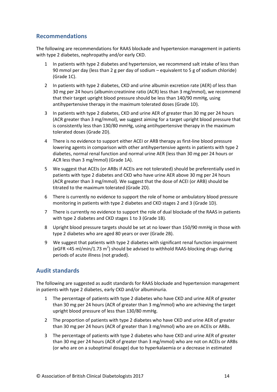## <span id="page-14-0"></span>**Recommendations**

The following are recommendations for RAAS blockade and hypertension management in patients with type 2 diabetes, nephropathy and/or early CKD.

- 1 In patients with type 2 diabetes and hypertension, we recommend salt intake of less than 90 mmol per day (less than 2 g per day of sodium – equivalent to 5 g of sodium chloride) (Grade 1C).
- 2 In patients with type 2 diabetes, CKD and urine albumin excretion rate (AER) of less than 30 mg per 24 hours (albumin:creatinine ratio (ACR) less than 3 mg/mmol), we recommend that their target upright blood pressure should be less than 140/90 mmHg, using antihypertensive therapy in the maximum tolerated doses (Grade 1D).
- 3 In patients with type 2 diabetes, CKD and urine AER of greater than 30 mg per 24 hours (ACR greater than 3 mg/mmol), we suggest aiming for a target upright blood pressure that is consistently less than 130/80 mmHg, using antihypertensive therapy in the maximum tolerated doses (Grade 2D).
- 4 There is no evidence to support either ACEI or ARB therapy as first-line blood pressure lowering agents in comparison with other antihypertensive agents in patients with type 2 diabetes, normal renal function and normal urine AER (less than 30 mg per 24 hours or ACR less than 3 mg/mmol) (Grade 1A).
- 5 We suggest that ACEIs (or ARBs if ACEIs are not tolerated) should be preferentially used in patients with type 2 diabetes and CKD who have urine AER above 30 mg per 24 hours (ACR greater than 3 mg/mmol). We suggest that the dose of ACEI (or ARB) should be titrated to the maximum tolerated (Grade 2D).
- 6 There is currently no evidence to support the role of home or ambulatory blood pressure monitoring in patients with type 2 diabetes and CKD stages 2 and 3 (Grade 1D).
- 7 There is currently no evidence to support the role of dual blockade of the RAAS in patients with type 2 diabetes and CKD stages 1 to 3 (Grade 1B).
- 8 Upright blood pressure targets should be set at no lower than 150/90 mmHg in those with type 2 diabetes who are aged 80 years or over (Grade 2B).
- 9 We suggest that patients with type 2 diabetes with significant renal function impairment (eGFR <45 ml/min/1.73 m<sup>2</sup>) should be advised to withhold RAAS-blocking drugs during periods of acute illness (not graded).

## <span id="page-14-1"></span>**Audit standards**

The following are suggested as audit standards for RAAS blockade and hypertension management in patients with type 2 diabetes, early CKD and/or albuminuria.

- 1 The percentage of patients with type 2 diabetes who have CKD and urine AER of greater than 30 mg per 24 hours (ACR of greater than 3 mg/mmol) who are achieving the target upright blood pressure of less than 130/80 mmHg.
- 2 The proportion of patients with type 2 diabetes who have CKD and urine AER of greater than 30 mg per 24 hours (ACR of greater than 3 mg/mmol) who are on ACEIs or ARBs.
- 3 The percentage of patients with type 2 diabetes who have CKD and urine AER of greater than 30 mg per 24 hours (ACR of greater than 3 mg/mmol) who are not on ACEIs or ARBs (or who are on a suboptimal dosage) due to hyperkalaemia or a decrease in estimated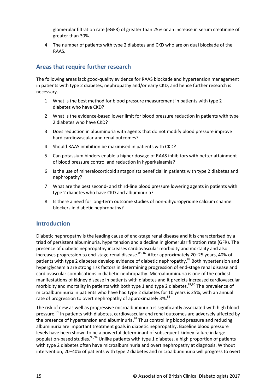glomerular filtration rate (eGFR) of greater than 25% or an increase in serum creatinine of greater than 30%.

4 The number of patients with type 2 diabetes and CKD who are on dual blockade of the RAAS.

# <span id="page-15-0"></span>**Areas that require further research**

The following areas lack good-quality evidence for RAAS blockade and hypertension management in patients with type 2 diabetes, nephropathy and/or early CKD, and hence further research is necessary.

- 1 What is the best method for blood pressure measurement in patients with type 2 diabetes who have CKD?
- 2 What is the evidence-based lower limit for blood pressure reduction in patients with type 2 diabetes who have CKD?
- 3 Does reduction in albuminuria with agents that do not modify blood pressure improve hard cardiovascular and renal outcomes?
- 4 Should RAAS inhibition be maximised in patients with CKD?
- 5 Can potassium binders enable a higher dosage of RAAS inhibitors with better attainment of blood pressure control and reduction in hyperkalaemia?
- 6 Is the use of mineralocorticoid antagonists beneficial in patients with type 2 diabetes and nephropathy?
- 7 What are the best second- and third-line blood pressure lowering agents in patients with type 2 diabetes who have CKD and albuminuria?
- 8 Is there a need for long-term outcome studies of non-dihydropyridine calcium channel blockers in diabetic nephropathy?

## <span id="page-15-1"></span>**Introduction**

Diabetic nephropathy is the leading cause of end-stage renal disease and it is characterised by a triad of persistent albuminuria, hypertension and a decline in glomerular filtration rate (GFR). The presence of diabetic nephropathy increases cardiovascular morbidity and mortality and also increases progression to end-stage renal disease.<sup>85–87</sup> After approximately 20–25 years, 40% of patients with type 2 diabetes develop evidence of diabetic nephropathy.<sup>88</sup> Both hypertension and hyperglycaemia are strong risk factors in determining progression of end-stage renal disease and cardiovascular complications in diabetic nephropathy. Microalbuminuria is one of the earliest manifestations of kidney disease in patients with diabetes and it predicts increased cardiovascular morbidity and mortality in patients with both type 1 and type 2 diabetes.<sup>89,90</sup> The prevalence of microalbuminuria in patients who have had type 2 diabetes for 10 years is 25%, with an annual rate of progression to overt nephropathy of approximately 3%.<sup>88</sup>

The risk of new as well as progressive microalbuminuria is significantly associated with high blood pressure.<sup>91</sup> In patients with diabetes, cardiovascular and renal outcomes are adversely affected by the presence of hypertension and albuminuria. $^{92}$  Thus controlling blood pressure and reducing albuminuria are important treatment goals in diabetic nephropathy. Baseline blood pressure levels have been shown to be a powerful determinant of subsequent kidney failure in large population-based studies.<sup>93,94</sup> Unlike patients with type 1 diabetes, a high proportion of patients with type 2 diabetes often have microalbuminuria and overt nephropathy at diagnosis. Without intervention, 20–40% of patients with type 2 diabetes and microalbuminuria will progress to overt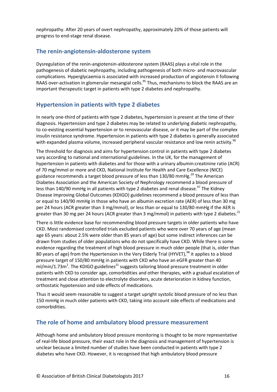nephropathy. After 20 years of overt nephropathy, approximately 20% of those patients will progress to end-stage renal disease.

## <span id="page-16-0"></span>**The renin-angiotensin-aldosterone system**

Dysregulation of the renin-angiotensin-aldosterone system (RAAS) plays a vital role in the pathogenesis of diabetic nephropathy, including pathogenesis of both micro- and macrovascular complications. Hyperglycaemia is associated with increased production of angiotensin II following RAAS over-activation in glomerular mesangial cells.<sup>95</sup> Thus, mechanisms to block the RAAS are an important therapeutic target in patients with type 2 diabetes and nephropathy.

## <span id="page-16-1"></span>**Hypertension in patients with type 2 diabetes**

In nearly one-third of patients with type 2 diabetes, hypertension is present at the time of their diagnosis. Hypertension and type 2 diabetes may be related to underlying diabetic nephropathy, to co-existing essential hypertension or to renovascular disease, or it may be part of the complex insulin resistance syndrome. Hypertension in patients with type 2 diabetes is generally associated with expanded plasma volume, increased peripheral vascular resistance and low renin activity.<sup>96</sup>

The threshold for diagnosis and aims for hypertension control in patients with type 2 diabetes vary according to national and international guidelines. In the UK, for the management of hypertension in patients with diabetes and for those with a urinary albumin:creatinine ratio (ACR) of 70 mg/mmol or more and CKD, National Institute for Health and Care Excellence (NICE) guidance recommends a target blood pressure of less than 130/80 mmHg.<sup>29</sup> The American Diabetes Association and the American Society of Nephrology recommend a blood pressure of less than 140/90 mmHg in all patients with type 2 diabetes and renal disease.<sup>97</sup> The Kidney Disease Improving Global Outcomes (KDIGO) guidelines recommend a blood pressure of less than or equal to 140/90 mmHg in those who have an albumin excretion rate (AER) of less than 30 mg per 24 hours (ACR greater than 3 mg/mmol), or less than or equal to 130/80 mmHg if the AER is greater than 30 mg per 24 hours (ACR greater than 3 mg/mmol) in patients with type 2 diabetes.<sup>21</sup>

There is little evidence base for recommending blood pressure targets in older patients who have CKD. Most randomised controlled trials excluded patients who were over 70 years of age (mean age 65 years: about 2.5% were older than 85 years of age) but some indirect inferences can be drawn from studies of older populations who do not specifically have CKD. While there is some evidence regarding the treatment of high blood pressure in much older people (that is, older than 80 years of age) from the Hypertension in the Very Elderly Trial (HYVET),<sup>98</sup> it applies to a blood pressure target of 150/80 mmHg in patients with CKD who have an eGFR greater than 40 ml/min/1.73m<sup>2</sup>. The KDIGO guidelines<sup>21</sup> suggests tailoring blood pressure treatment in older patients with CKD to consider age, comorbidities and other therapies, with a gradual escalation of treatment and close attention to electrolyte disorders, acute deterioration in kidney function, orthostatic hypotension and side effects of medications.

Thus it would seem reasonable to suggest a target upright systolic blood pressure of no less than 150 mmHg in much older patients with CKD, taking into account side effects of medications and comorbidities.

### <span id="page-16-2"></span>**The role of home and ambulatory blood pressure measurement**

Although home and ambulatory blood pressure monitoring is thought to be more representative of real-life blood pressure, their exact role in the diagnosis and management of hypertension is unclear because a limited number of studies have been conducted in patients with type 2 diabetes who have CKD. However, it is recognised that high ambulatory blood pressure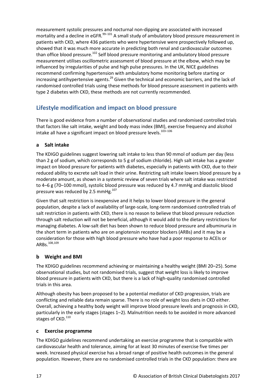measurement systolic pressures and nocturnal non-dipping are associated with increased mortality and a decline in eGFR.<sup>99–101</sup> A small study of ambulatory blood pressure measurement in patients with CKD, where 436 patients who were hypertensive were prospectively followed up, showed that it was much more accurate in predicting both renal and cardiovascular outcomes than office blood pressure.<sup>102</sup> Self blood pressure monitoring and ambulatory blood pressure measurement utilises oscillometric assessment of blood pressure at the elbow, which may be influenced by irregularities of pulse and high pulse pressures. In the UK, NICE guidelines recommend confirming hypertension with ambulatory home monitoring before starting or increasing antihypertensive agents.<sup>29</sup> Given the technical and economic barriers, and the lack of randomised controlled trials using these methods for blood pressure assessment in patients with type 2 diabetes with CKD, these methods are not currently recommended.

# <span id="page-17-0"></span>**Lifestyle modification and impact on blood pressure**

There is good evidence from a number of observational studies and randomised controlled trials that factors like salt intake, weight and body mass index (BMI), exercise frequency and alcohol intake all have a significant impact on blood pressure levels.<sup>103-106</sup>

#### **a Salt intake**

The KDIGO guidelines suggest lowering salt intake to less than 90 mmol of sodium per day (less than 2 g of sodium, which corresponds to 5 g of sodium chloride). High salt intake has a greater impact on blood pressure for patients with diabetes, especially in patients with CKD, due to their reduced ability to excrete salt load in their urine. Restricting salt intake lowers blood pressure by a moderate amount, as shown in a systemic review of seven trials where salt intake was restricted to 4–6 g (70–100 mmol), systolic blood pressure was reduced by 4.7 mmHg and diastolic blood pressure was reduced by 2.5 mmHg. $107$ 

Given that salt restriction is inexpensive and it helps to lower blood pressure in the general population, despite a lack of availability of large-scale, long-term randomised controlled trials of salt restriction in patients with CKD, there is no reason to believe that blood pressure reduction through salt reduction will not be beneficial, although it would add to the dietary restrictions for managing diabetes. A low-salt diet has been shown to reduce blood pressure and albuminuria in the short term in patients who are on angiotensin receptor blockers (ARBs) and it may be a consideration for those with high blood pressure who have had a poor response to ACEIs or ARBs.108,109

### **b Weight and BMI**

The KDIGO guidelines recommend achieving or maintaining a healthy weight (BMI 20–25). Some observational studies, but not randomised trials, suggest that weight loss is likely to improve blood pressure in patients with CKD, but there is a lack of high-quality randomised controlled trials in this area.

Although obesity has been proposed to be a potential mediator of CKD progression, trials are conflicting and reliable data remain sparse. There is no role of weight loss diets in CKD either. Overall, achieving a healthy body weight will improve blood pressure levels and prognosis in CKD, particularly in the early stages (stages 1–2). Malnutrition needs to be avoided in more advanced stages of CKD.<sup>110</sup>

#### **c Exercise programme**

The KDIGO guidelines recommend undertaking an exercise programme that is compatible with cardiovascular health and tolerance, aiming for at least 30 minutes of exercise five times per week. Increased physical exercise has a broad range of positive health outcomes in the general population. However, there are no randomised controlled trials in the CKD population: there are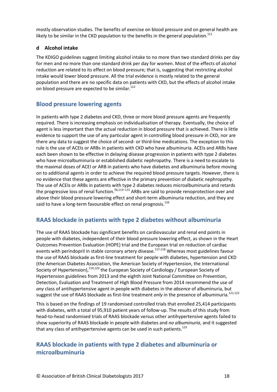mostly observation studies. The benefits of exercise on blood pressure and on general health are likely to be similar in the CKD population to the benefits in the general population.<sup>111</sup>

### **d Alcohol intake**

The KDIGO guidelines suggest limiting alcohol intake to no more than two standard drinks per day for men and no more than one standard drink per day for women. Most of the effects of alcohol reduction are related to its effect on blood pressure; that is, suggesting that restricting alcohol intake would lower blood pressure. All the trial evidence is mostly related to the general population and there are no specific data on patients with CKD, but the effects of alcohol intake on blood pressure are expected to be similar.<sup>112</sup>

## <span id="page-18-0"></span>**Blood pressure lowering agents**

In patients with type 2 diabetes and CKD, three or more blood pressure agents are frequently required. There is increasing emphasis on individualisation of therapy. Eventually, the choice of agent is less important than the actual reduction in blood pressure that is achieved. There is little evidence to support the use of any particular agent in controlling blood pressure in CKD, nor are there any data to suggest the choice of second- or third-line medications. The exception to this rule is the use of ACEIs or ARBs in patients with CKD who have albuminuria. ACEIs and ARBs have each been shown to be effective in delaying disease progression in patients with type 2 diabetes who have microalbuminuria or established diabetic nephropathy. There is a need to escalate to the maximal doses of ACEI or ARB in patients who have diabetes and albuminuria before moving on to additional agents in order to achieve the required blood pressure targets. However, there is no evidence that these agents are effective in the primary prevention of diabetic nephropathy. The use of ACEIs or ARBs in patients with type 2 diabetes reduces microalbuminuria and retards the progressive loss of renal function.<sup>56,113-115</sup> ARBs are said to provide renoprotection over and above their blood pressure lowering effect and short-term albuminuria reduction, and they are said to have a long-term favourable effect on renal prognosis.<sup>116</sup>

## <span id="page-18-1"></span>**RAAS blockade in patients with type 2 diabetes without albuminuria**

The use of RAAS blockade has significant benefits on cardiovascular and renal end points in people with diabetes, independent of their blood pressure lowering effect, as shown in the Heart Outcomes Prevention Evaluation (HOPE) trial and the European trial on reduction of cardiac events with perindopril in stable coronary artery disease.<sup>117,118</sup> Whereas most guidelines favour the use of RAAS blockade as first-line treatment for people with diabetes, hypertension and CKD (the American Diabetes Association, the American Society of Hypertension, the International Society of Hypertension),<sup>119,120</sup> the European Society of Cardiology / European Society of Hypertension guidelines from 2013 and the eighth Joint National Committee on Prevention, Detection, Evaluation and Treatment of High Blood Pressure from 2014 recommend the use of *any* class of antihypertensive agent in people with diabetes in the *absence* of albuminuria, but suggest the use of RAAS blockade as first-line treatment *only* in the presence of albuminuria.<sup>121,122</sup>

This is based on the findings of 19 randomised controlled trials that enrolled 25,414 participants with diabetes, with a total of 95,910 patient years of follow-up. The results of this study from head-to-head randomised trials of RAAS blockade versus other antihypertensive agents failed to show superiority of RAAS blockade in people with diabetes and *no albuminuria*, and it suggested that any class of antihypertensive agents can be used in such patients.<sup>123</sup>

# <span id="page-18-2"></span>**RAAS blockade in patients with type 2 diabetes and albuminuria or microalbuminuria**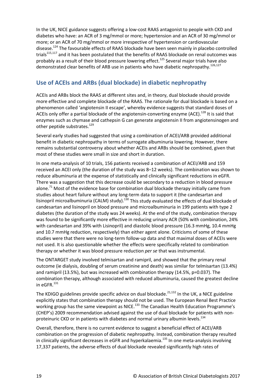In the UK, NICE guidance suggests offering a low-cost RAAS antagonist to people with CKD and diabetes who have: an ACR of 3 mg/mmol or more; hypertension and an ACR of 30 mg/mmol or more; or an ACR of 70 mg/mmol or more irrespective of hypertension or cardiovascular disease.<sup>124</sup> The favourable effects of RAAS blockade have been seen mainly in placebo controlled trials<sup>115,117</sup> and it has been postulated that the benefits of RAAS blockade on renal outcomes was probably as a result of their blood pressure lowering effect. <sup>125</sup> Several major trials have also demonstrated clear benefits of ARB use in patients who have diabetic nephropathy.<sup>126,127</sup>

# <span id="page-19-0"></span>**Use of ACEIs and ARBs (dual blockade) in diabetic nephropathy**

ACEIs and ARBs block the RAAS at different sites and, in theory, dual blockade should provide more effective and complete blockade of the RAAS. The rationale for dual blockade is based on a phenomenon called 'angiotensin II escape', whereby evidence suggests that standard doses of ACEIs only offer a partial blockade of the angiotensin-converting enzyme (ACE).<sup>128</sup> It is said that enzymes such as chymase and cathepsin G can generate angiotensin II from angiotensinogen and other peptide substrates.<sup>129</sup>

Several early studies had suggested that using a combination of ACEI/ARB provided additional benefit in diabetic nephropathy in terms of surrogate albuminuria lowering. However, there remains substantial controversy about whether ACEIs and ARBs should be combined, given that most of these studies were small in size and short in duration.

In one meta-analysis of 10 trials, 156 patients received a combination of ACEI/ARB and 159 received an ACEI only (the duration of the study was 8–12 weeks). The combination was shown to reduce albuminuria at the expense of statistically and clinically significant reductions in eGFR. There was a suggestion that this decrease could be secondary to a reduction in blood pressure alone.<sup>71</sup> Most of the evidence base for combination dual blockade therapy initially came from studies about heart failure without any long-term data to support it (the candesartan and lisinopril microalbuminuria (CALM) study).<sup>130</sup> This study evaluated the effects of dual blockade of candesartan and lisinopril on blood pressure and microalbuminuria in 199 patients with type 2 diabetes (the duration of the study was 24 weeks). At the end of the study, combination therapy was found to be significantly more effective in reducing urinary ACR (50% with combination, 24% with candesartan and 39% with Lisinopril) and diastolic blood pressure (16.3 mmHg, 10.4 mmHg and 10.7 mmHg reduction, respectively) than either agent alone. Criticisms of some of these studies were that there were no long-term follow-up data and that maximal doses of ACEIs were not used. It is also questionable whether the effects were specifically related to combination therapy or whether it was blood pressure reduction *per se* that was instrumental.

The ONTARGET study involved telmisartan and ramipril, and showed that the primary renal outcome (ie dialysis, doubling of serum creatinine and death) was similar for telmisartan (13.4%) and ramipril (13.5%), but was increased with combination therapy (14.5%, p=0.037). The combination therapy, although associated with reduced albuminuria, caused the greatest decline in eGFR. $^{131}$ 

The KDIGO guidelines provide specific advice on dual blockade.<sup>21,132</sup> In the UK, a NICE guideline explicitly states that combination therapy should not be used. The European Renal Best Practice working group has the same viewpoint as NICE.<sup>133</sup> The Canadian Health Education Programme's (CHEP's) 2009 recommendation advised against the use of dual blockade for patients with nonproteinuric CKD or in patients with diabetes and normal urinary albumin levels.<sup>134</sup>

Overall, therefore, there is no current evidence to suggest a beneficial effect of ACEI/ARB combination on the progression of diabetic nephropathy. Instead, combination therapy resulted in clinically significant decreases in eGFR and hyperkalaemia.<sup>135</sup> In one meta-analysis involving 17,337 patients, the adverse effects of dual blockade revealed significantly high rates of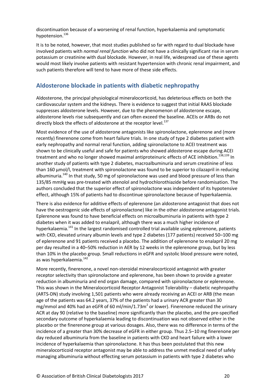discontinuation because of a worsening of renal function, hyperkalaemia and symptomatic hypotension.<sup>136</sup>

It is to be noted, however, that most studies published so far with regard to dual blockade have involved patients with *normal renal function* who did not have a clinically significant rise in serum potassium or creatinine with dual blockade. However, in real life, widespread use of these agents would most likely involve patients with resistant hypertension with chronic renal impairment, and such patients therefore will tend to have more of these side effects.

# <span id="page-20-0"></span>**Aldosterone blockade in patients with diabetic nephropathy**

Aldosterone, the principal physiological mineralocorticoid, has deleterious effects on both the cardiovascular system and the kidneys. There is evidence to suggest that initial RAAS blockade suppresses aldosterone levels. However, due to the phenomenon of aldosterone escape, aldosterone levels rise subsequently and can often exceed the baseline. ACEIs or ARBs do not directly block the effects of aldosterone at the receptor level.<sup>137</sup>

Most evidence of the use of aldosterone antagonists like spironolactone, eplerenone and (more recently) finerenone come from heart failure trials. In one study of type 2 diabetes patient with early nephropathy and normal renal function, adding spironolactone to ACEI treatment was shown to be clinically useful and safe for patients who showed aldosterone escape during ACEI treatment and who no longer showed maximal antiproteinuric effects of ACE inhibition.<sup>138,139</sup> In another study of patients with type 2 diabetes, macroalbuminuria and serum creatinine of less than 160 µmol/l, treatment with spironolactone was found to be superior to cilazapril in reducing albuminuria.<sup>140</sup> In that study, 50 mg of spironolactone was used and blood pressure of less than 135/85 mmHg was pre-treated with atenolol and hydrochlorothiazide before randomisation. The authors concluded that the superior effect of spironolactone was independent of its hypotensive effect, although 15% of patients had to discontinue spironolactone because of hyperkalaemia.

There is also evidence for additive effects of eplerenone (an aldosterone antagonist that does not have the oestrogenic side effects of spironolactone) like in the other aldosterone antagonist trials. Eplerenone was found to have beneficial effects on microalbuminuria in patients with type 2 diabetes when it was added to enalapril, although there was a much higher incidence of hyperkalaemia.<sup>141</sup> In the largest randomised controlled trial available using eplerenone, patients with CKD, elevated urinary albumin levels and type 2 diabetes (177 patients) received 50–100 mg of eplerenone and 91 patients received a placebo. The addition of eplerenone to enalapril 20 mg per day resulted in a 40–50% reduction in AER by 12 weeks in the eplerenone group, but by less than 10% in the placebo group. Small reductions in eGFR and systolic blood pressure were noted, as was hyperkalaemia.<sup>142</sup>

More recently, finerenone, a novel non-steroidal mineralocorticoid antagonist with greater receptor selectivity than spironolactone and eplerenone, has been shown to provide a greater reduction in albuminuria and end organ damage, compared with spironolactone or eplerenone. This was shown in the Mineralocorticoid Receptor Antagonist Tolerability – diabetic nephropathy (ARTS-DN) study involving 1,501 patients who were already receiving an ACEI or ARB (the mean age of the patients was 64.2 years, 37% of the patients had a urinary ACR greater than 30 mg/mmol and 40% had an eGFR of 60 ml/min/1.73m<sup>2</sup> or lower). Finerenone reduced the urinary ACR at day 90 (relative to the baseline) more significantly than the placebo, and the pre-specified secondary outcome of hyperkalaemia leading to discontinuation was not observed either in the placebo or the finerenone group at various dosages. Also, there was no difference in terms of the incidence of a greater than 30% decrease of eGFR in either group. Thus 2.5–10 mg finerenone per day reduced albuminuria from the baseline in patients with CKD and heart failure with a lower incidence of hyperkalaemia than spironolactone. It has thus been postulated that this new mineralocorticoid receptor antagonist may be able to address the unmet medical need of safely managing albuminuria without effecting serum potassium in patients with type 2 diabetes who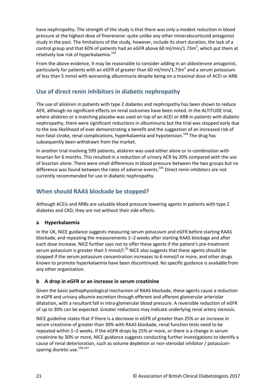have nephropathy. The strength of the study is that there was only a modest reduction in blood pressure at the highest dose of finerenone: quite unlike any other mineralocorticoid antagonist study in the past. The limitations of the study, however, include its short duration, the lack of a control group and that 60% of patients had an eGFR above 60 ml/min/1.73m<sup>2</sup>, which put them at relatively low risk of hyperkalaemia.<sup>143</sup>

From the above evidence, it may be reasonable to consider adding in an aldosterone antagonist, particularly for patients with an eGFR of greater than 60 ml/min/1.73 $m^2$  and a serum potassium of less than 5 mmol with worsening albuminuria despite being on a maximal dose of ACEI or ARB.

# <span id="page-21-0"></span>**Use of direct renin inhibitors in diabetic nephropathy**

The use of aliskiren in patients with type 2 diabetes and nephropathy has been shown to reduce AER, although no significant effects on renal outcomes have been noted. In the ALTITUDE trial, where aliskiren or a matching placebo was used on top of an ACEI or ARB in patients with diabetic nephropathy, there were significant reductions in albuminuria but the trial was stopped early due to the low likelihood of ever demonstrating a benefit and the suggestion of an increased risk of non-fatal stroke, renal complications, hyperkalaemia and hypotension.<sup>144</sup> The drug has subsequently been withdrawn from the market.

In another trial involving 599 patients, aliskiren was used either alone or in combination with losartan for 6 months. This resulted in a reduction of urinary ACR by 20% compared with the use of losartan alone. There were small differences in blood pressure between the two groups but no difference was found between the rates of adverse events.<sup>145</sup> Direct renin inhibitors are not currently recommended for use in diabetic nephropathy.

# <span id="page-21-1"></span>**When should RAAS blockade be stopped?**

Although ACEIs and ARBs are valuable blood pressure lowering agents in patients with type 2 diabetes and CKD, they are not without their side effects.

## **a Hyperkalaemia**

In the UK, NICE guidance suggests measuring serum potassium and eGFR before starting RAAS blockade, and repeating the measurements 1–2 weeks after starting RAAS blockage and after each dose increase. NICE further says not to offer these agents if the patient's pre-treatment serum potassium is greater than 5 mmol/l. $^{29}$  NICE also suggests that these agents should be stopped if the serum potassium concentration increases to 6 mmol/l or more, and other drugs known to promote hyperkalaemia have been discontinued. No specific guidance is available from any other organisation.

### **b A drop in eGFR or an increase in serum creatinine**

Given the basic pathophysiological mechanism of RAAS blockade, these agents cause a reduction in eGFR and urinary albumin excretion through efferent and afferent glomerular arteriolar dilatation, with a resultant fall in intra-glomerular blood pressure. A reversible reduction of eGFR of up to 30% can be expected. Greater reductions may indicate underlying renal artery stenosis.

NICE guideline states that if there is a decrease in eGFR of greater than 25% or an increase in serum creatinine of greater than 30% with RAAS blockade, renal function tests need to be repeated within 1–2 weeks. If the eGFR drops by 25% or more, or there is a change in serum creatinine by 30% or more, NICE guidance suggests conducting further investigations to identify a cause of renal deterioration, such as volume depletion or non-steroidal inhibitor / potassiumsparing diuretic use.<sup>146,147</sup>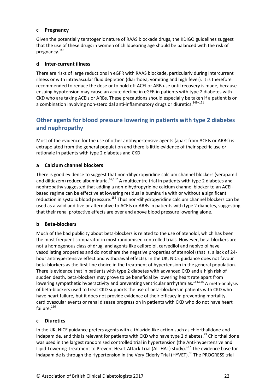#### **c Pregnancy**

Given the potentially teratogenic nature of RAAS blockade drugs, the KDIGO guidelines suggest that the use of these drugs in women of childbearing age should be balanced with the risk of pregnancy. 148

#### **d Inter-current illness**

There are risks of large reductions in eGFR with RAAS blockade, particularly during intercurrent illness or with intravascular fluid depletion (diarrhoea, vomiting and high fever). It is therefore recommended to reduce the dose or to hold off ACEI or ARB use until recovery is made, because ensuing hypotension may cause an acute decline in eGFR in patients with type 2 diabetes with CKD who are taking ACEIs or ARBs. These precautions should especially be taken if a patient is on a combination involving non-steroidal anti-inflammatory drugs or diuretics.<sup>149-151</sup>

# <span id="page-22-0"></span>**Other agents for blood pressure lowering in patients with type 2 diabetes and nephropathy**

Most of the evidence for the use of other antihypertensive agents (apart from ACEIs or ARBs) is extrapolated from the general population and there is little evidence of their specific use or rationale in patients with type 2 diabetes and CKD.

#### **a Calcium channel blockers**

There is good evidence to suggest that non-dihydropyridine calcium channel blockers (verapamil and diltiazem) reduce albuminuria.<sup>67,152</sup> A multicentre trial in patients with type 2 diabetes and nephropathy suggested that adding a non-dihydropyridine calcium channel blocker to an ACEIbased regime can be effective at lowering residual albuminuria with or without a significant reduction in systolic blood pressure.<sup>153</sup> Thus non-dihydropyridine calcium channel blockers can be used as a valid additive or alternative to ACEIs or ARBs in patients with type 2 diabetes, suggesting that their renal protective effects are over and above blood pressure lowering alone.

### **b Beta-blockers**

Much of the bad publicity about beta-blockers is related to the use of atenolol, which has been the most frequent comparator in most randomised controlled trials. However, beta-blockers are not a homogenous class of drug, and agents like celiprolol, carvedilol and nebivolol have vasodilating properties and do not share the negative properties of atenolol (that is, a lack of 24 hour antihypertensive effect and withdrawal effects). In the UK, NICE guidance does not favour beta-blockers as the first-line choice in the treatment of hypertension in the general population. There is evidence that in patients with type 2 diabetes with advanced CKD and a high risk of sudden death, beta-blockers may prove to be beneficial by lowering heart rate apart from lowering sympathetic hyperactivity and preventing ventricular arrhythmias.<sup>154,155</sup> A meta-analysis of beta-blockers used to treat CKD supports the use of beta-blockers in patients with CKD who have heart failure, but it does not provide evidence of their efficacy in preventing mortality, cardiovascular events or renal disease progression in patients with CKD who do not have heart failure.<sup>156</sup>

#### **c Diuretics**

In the UK, NICE guidance prefers agents with a thiazide-like action such as chlorthalidone and indapamide, and this is relevant for patients with CKD who have type 2 diabetes.<sup>29</sup> Chlorthalidone was used in the largest randomised controlled trial in hypertension (the Anti-hypertensive and Lipid-Lowering Treatment to Prevent Heart Attack Trial (ALLHAT) study).<sup>157</sup> The evidence base for indapamide is through the Hypertension in the Very Elderly Trial (HYVET).<sup>98</sup> The PROGRESS trial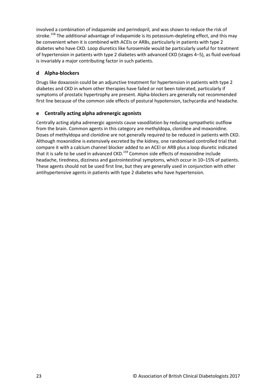involved a combination of indapamide and perindopril, and was shown to reduce the risk of stroke.<sup>158</sup> The additional advantage of indapamide is its potassium-depleting effect, and this may be convenient when it is combined with ACEIs or ARBs, particularly in patients with type 2 diabetes who have CKD. Loop diuretics like furosemide would be particularly useful for treatment of hypertension in patients with type 2 diabetes with advanced CKD (stages 4–5), as fluid overload is invariably a major contributing factor in such patients.

## **d Alpha-blockers**

Drugs like doxazosin could be an adjunctive treatment for hypertension in patients with type 2 diabetes and CKD in whom other therapies have failed or not been tolerated, particularly if symptoms of prostatic hypertrophy are present. Alpha-blockers are generally not recommended first line because of the common side effects of postural hypotension, tachycardia and headache.

### **e Centrally acting alpha adrenergic agonists**

Centrally acting alpha adrenergic agonists cause vasodilation by reducing sympathetic outflow from the brain. Common agents in this category are methyldopa, clonidine and moxonidine. Doses of methyldopa and clonidine are not generally required to be reduced in patients with CKD. Although moxonidine is extensively excreted by the kidney, one randomised controlled trial that compare it with a calcium channel blocker added to an ACEI or ARB plus a loop diuretic indicated that it is safe to be used in advanced CKD.<sup>159</sup> Common side effects of moxonidine include headache, tiredness, dizziness and gastrointestinal symptoms, which occur in 10–15% of patients. These agents should not be used first line, but they are generally used in conjunction with other antihypertensive agents in patients with type 2 diabetes who have hypertension.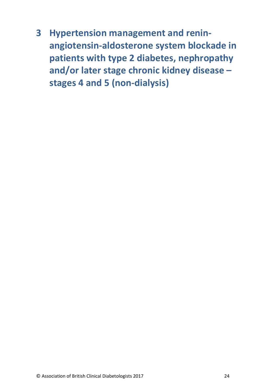<span id="page-24-0"></span>**3 Hypertension management and reninangiotensin-aldosterone system blockade in patients with type 2 diabetes, nephropathy and/or later stage chronic kidney disease – stages 4 and 5 (non-dialysis)**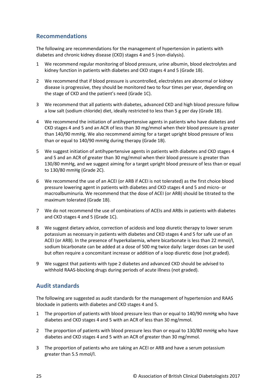## <span id="page-25-0"></span>**Recommendations**

The following are recommendations for the management of hypertension in patients with diabetes and chronic kidney disease (CKD) stages 4 and 5 (non-dialysis).

- 1 We recommend regular monitoring of blood pressure, urine albumin, blood electrolytes and kidney function in patients with diabetes and CKD stages 4 and 5 (Grade 1B).
- 2 We recommend that if blood pressure is uncontrolled, electrolytes are abnormal or kidney disease is progressive, they should be monitored two to four times per year, depending on the stage of CKD and the patient's need (Grade 1C).
- 3 We recommend that all patients with diabetes, advanced CKD and high blood pressure follow a low salt (sodium chloride) diet, ideally restricted to less than 5 g per day (Grade 1B).
- 4 We recommend the initiation of antihypertensive agents in patients who have diabetes and CKD stages 4 and 5 and an ACR of less than 30 mg/mmol when their blood pressure is greater than 140/90 mmHg. We also recommend aiming for a target upright blood pressure of less than or equal to 140/90 mmHg during therapy (Grade 1B).
- 5 We suggest initiation of antihypertensive agents in patients with diabetes and CKD stages 4 and 5 and an ACR of greater than 30 mg/mmol when their blood pressure is greater than 130/80 mmHg, and we suggest aiming for a target upright blood pressure of less than or equal to 130/80 mmHg (Grade 2C).
- 6 We recommend the use of an ACEI (or ARB if ACEI is not tolerated) as the first choice blood pressure lowering agent in patients with diabetes and CKD stages 4 and 5 and micro- or macroalbuminuria. We recommend that the dose of ACEI (or ARB) should be titrated to the maximum tolerated (Grade 1B).
- 7 We do not recommend the use of combinations of ACEIs and ARBs in patients with diabetes and CKD stages 4 and 5 (Grade 1C).
- 8 We suggest dietary advice, correction of acidosis and loop diuretic therapy to lower serum potassium as necessary in patients with diabetes and CKD stages 4 and 5 for safe use of an ACEI (or ARB). In the presence of hyperkalaemia, where bicarbonate is less than 22 mmol/l, sodium bicarbonate can be added at a dose of 500 mg twice daily: larger doses can be used but often require a concomitant increase or addition of a loop diuretic dose (not graded).
- 9 We suggest that patients with type 2 diabetes and advanced CKD should be advised to withhold RAAS-blocking drugs during periods of acute illness (not graded).

## <span id="page-25-1"></span>**Audit standards**

The following are suggested as audit standards for the management of hypertension and RAAS blockade in patients with diabetes and CKD stages 4 and 5.

- 1 The proportion of patients with blood pressure less than or equal to 140/90 mmHg who have diabetes and CKD stages 4 and 5 with an ACR of less than 30 mg/mmol.
- 2 The proportion of patients with blood pressure less than or equal to 130/80 mmHg who have diabetes and CKD stages 4 and 5 with an ACR of greater than 30 mg/mmol.
- 3 The proportion of patients who are taking an ACEI or ARB and have a serum potassium greater than 5.5 mmol/l.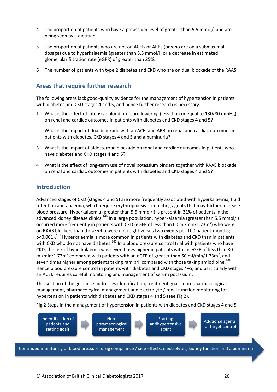- 4 The proportion of patients who have a potassium level of greater than 5.5 mmol/l and are being seen by a dietitian.
- 5 The proportion of patients who are not on ACEIs or ARBs (or who are on a submaximal dosage) due to hyperkalaemia (greater than 5.5 mmol/l) or a decrease in estimated glomerular filtration rate (eGFR) of greater than 25%.
- 6 The number of patients with type 2 diabetes and CKD who are on dual blockade of the RAAS.

# <span id="page-26-0"></span>**Areas that require further research**

The following areas lack good-quality evidence for the management of hypertension in patients with diabetes and CKD stages 4 and 5, and hence further research is necessary.

- 1 What is the effect of intensive blood pressure lowering (less than or equal to 130/80 mmHg) on renal and cardiac outcomes in patients with diabetes and CKD stages 4 and 5?
- 2 What is the impact of dual blockade with an ACEI and ARB on renal and cardiac outcomes in patients with diabetes, CKD stages 4 and 5 and albuminuria?
- 3 What is the impact of aldosterone blockade on renal and cardiac outcomes in patients who have diabetes and CKD stages 4 and 5?
- 4 What is the effect of long-term use of novel potassium binders together with RAAS blockade on renal and cardiac outcomes in patients with diabetes and CKD stages 4 and 5?

## <span id="page-26-1"></span>**Introduction**

Advanced stages of CKD (stages 4 and 5) are more frequently associated with hyperkalaemia, fluid retention and anaemia, which require erythropoiesis-stimulating agents that may further increase blood pressure. Hyperkalaemia (greater than 5.5 mmol/l) is present in 31% of patients in the advanced kidney disease clinics.<sup>160</sup> In a large population, hyperkalaemia (greater than 5.5 mmol/l) occurred more frequently in patients with CKD (eGFR of less than 60 ml/min/1.73m<sup>2</sup>) who were on RAAS blockers than those who were not (eight versus two events per 100 patient-months; p<0.001).<sup>161</sup> Hyperkalaemia is more common in patients with diabetes and CKD than in patients with CKD who do not have diabetes.<sup>162</sup> In a blood pressure control trial with patients who have CKD, the risk of hyperkalaemia was seven times higher in patients with an eGFR of less than 30 ml/min/1.73m<sup>2</sup> compared with patients with an eGFR of greater than 50 ml/min/1.73m<sup>2</sup>, and seven times higher among patients taking ramipril compared with those taking amlodipine.<sup>163</sup> Hence blood pressure control in patients with diabetes and CKD stages 4–5, and particularly with an ACEI, requires careful monitoring and management of serum potassium.

This section of the guidance addresses identification, treatment goals, non-pharmacological management, pharmacological management and electrolyte / renal function monitoring for hypertension in patients with diabetes and CKD stages 4 and 5 (see Fig 2).

**Fig 2** Steps in the management of hypertension in patients with diabetes and CKD stages 4 and 5



Continued monitoring of blood pressure, drug compliance / side effects, electrolytes, kidney function and albuminuria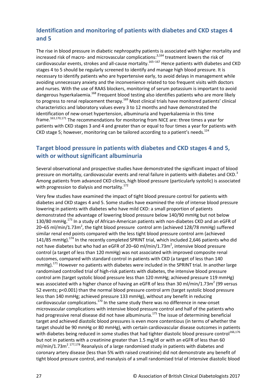# <span id="page-27-0"></span>**Identification and monitoring of patients with diabetes and CKD stages 4 and 5**

The rise in blood pressure in diabetic nephropathy patients is associated with higher mortality and increased risk of macro- and microvascular complications:<sup>3,164</sup> treatment lowers the risk of cardiovascular events, strokes and all-cause mortality.165–167 Hence patients with diabetes and CKD stages 4 to 5 should be regularly screened to identify and manage high blood pressure. It is necessary to identify patients who are hypertensive early, to avoid delays in management while avoiding unnecessary anxiety and the inconvenience related to too frequent visits with doctors and nurses. With the use of RAAS blockers, monitoring of serum potassium is important to avoid dangerous hyperkalaemia.<sup>168</sup> Frequent blood testing also identifies patients who are more likely to progress to renal replacement therapy.<sup>169</sup> Most clinical trials have monitored patients' clinical characteristics and laboratory values every 3 to 12 months and have demonstrated the identification of new-onset hypertension, albuminuria and hyperkalaemia in this time frame.<sup>163,170,171</sup> The recommendations for monitoring from NICE are: three times a year for patients with CKD stages 3 and 4 and greater than or equal to four times a year for patients with CKD stage 5; however, monitoring can be tailored according to a patient's needs. $^{124}$ 

# <span id="page-27-1"></span>**Target blood pressure in patients with diabetes and CKD stages 4 and 5, with or without significant albuminuria**

Several observational and prospective studies have demonstrated the significant impact of blood pressure on mortality, cardiovascular events and renal failure in patients with diabetes and CKD.<sup>3</sup> Among patients from advanced CKD clinics, high blood pressure (particularly systolic) is associated with progression to dialysis and mortality. $172$ 

Very few studies have examined the impact of tight blood pressure control for patients with diabetes and CKD stages 4 and 5. Some studies have examined the role of intense blood pressure lowering in patients with diabetes who have mild CKD: a small proportion of patients demonstrated the advantage of lowering blood pressure below 140/90 mmHg but not below 130/80 mmHg.<sup>173</sup> In a study of African-American patients with non-diabetes CKD and an eGFR of 20–65 ml/min/1.73 $m^2$ , the tight blood pressure control arm (achieved 128/78 mmHg) suffered similar renal end points compared with the less tight blood pressure control arm (achieved 141/85 mmHg).<sup>174</sup> In the recently completed SPRINT trial, which included 2,646 patients who did not have diabetes but who had an eGFR of 20–60 ml/min/1.73 $m^2$ , intensive blood pressure control (a target of less than 120 mmHg) was not associated with improved composite renal outcomes, compared with standard control in patients with CKD (a target of less than 140 mmHg).<sup>171</sup> However no patients with diabetes were included in the SPRINT trial. In another large randomised controlled trial of high-risk patients with diabetes, the intensive blood pressure control arm (target systolic blood pressure less than 120 mmHg; achieved pressure 119 mmHg) was associated with a higher chance of having an eGFR of less than 30 ml/min/1.73m<sup>2</sup> (99 versus 52 events; p<0.001) than the normal blood pressure control arm (target systolic blood pressure less than 140 mmHg; achieved pressure 133 mmHg), without any benefit in reducing cardiovascular complications.<sup>170</sup> In the same study there was no difference in new-onset microvascular complications with intensive blood pressure control and half of the patients who had progressive renal disease did not have albuminuria.<sup>175</sup> The issue of determining beneficial target and achieved diastolic blood pressures is even more contentious (in terms of whether the target should be 90 mmHg or 80 mmHg), with certain cardiovascular disease outcomes in patients with diabetes being reduced in some studies that had tighter diastolic blood pressure control<sup>166,176</sup> but not in patients with a creatinine greater than 1.5 mg/dl or with an eGFR of less than 60 ml/min/1.73m<sup>2</sup>.<sup>177,178</sup> Reanalysis of a large randomised study in patients with diabetes and coronary artery disease (less than 5% with raised creatinine) did not demonstrate any benefit of tight blood pressure control, and reanalysis of a small randomised trial of intensive diastolic blood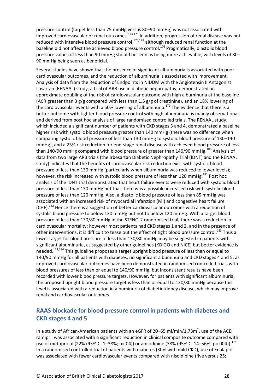pressure control (target less than 75 mmHg versus 80–90 mmHg) was not associated with improved cardiovascular or renal outcomes.<sup>173,178</sup> In addition, progression of renal disease was not reduced with intensive blood pressure control,<sup>176,178</sup> although reduced renal function at the baseline did not affect the achieved blood pressure control.<sup>176</sup> Pragmatically, diastolic blood pressure values of less than 90 mmHg should be seen as being more achievable, with levels of 80– 90 mmHg being seen as beneficial.

Several studies have shown that the presence of significant albuminuria is associated with poor cardiovascular outcomes, and the reduction of albuminuria is associated with improvement. Analysis of data from the Reduction of Endpoints in NIDDM with the Angiotensin II Antagonist Losartan (RENAAL) study, a trial of ARB use in diabetic nephropathy, demonstrated an approximate doubling of the risk of cardiovascular outcome with high albuminuria at the baseline (ACR greater than 3 g/g compared with less than 1.5 g/g of creatinine), and an 18% lowering of the cardiovascular events with a 50% lowering of albuminuria.<sup>179</sup> The evidence that there is a better outcome with tighter blood pressure control with high albuminuria is mainly observational and derived from post hoc analysis of large randomised controlled trials. The RENAAL study, which included a significant number of patients with CKD stages 3 and 4, demonstrated a baseline higher risk with systolic blood pressure greater than 140 mmHg (there was no difference when comparing systolic blood pressure of less than 130 mmHg to systolic blood pressure of 130–140 mmHg), and a 23% risk reduction for end-stage renal disease with achieved blood pressure of less than 140/90 mmHg compared with blood pressure of greater than 140/90 mmHg.<sup>180</sup> Analysis of data from two large ARB trials (the Irbesartan Diabetic Nephropathy Trial (IDNT) and the RENAAL study) indicates that the benefits of cardiovascular risk reduction exist with systolic blood pressure of less than 130 mmHg (particularly when albuminuria was reduced to lower levels); however, the risk increased with systolic blood pressure of less than 120 mmHg.<sup>181</sup> Post hoc analysis of the IDNT trial demonstrated that heart failure events were reduced with systolic blood pressure of less than 130 mmHg but that there was a possible increased risk with systolic blood pressure of less than 120 mmHg. Also, a diastolic blood pressure of less than 85 mmHg was associated with an increased risk of myocardial infarction (MI) and congestive heart failure (CHF).<sup>182</sup> Hence there is a suggestion of better cardiovascular outcomes with a reduction of systolic blood pressure to below 130 mmHg but not to below 120 mmHg. With a target blood pressure of less than 130/80 mmHg in the STENO-2 randomised trial, there was a reduction in cardiovascular mortality; however most patients had CKD stages 1 and 2, and in the presence of other interventions, it is difficult to tease out the effect of tight blood pressure control.<sup>183</sup> Thus a lower target for blood pressure of less than 130/80 mmHg may be suggested in patients with significant albuminuria, as suggested by other guidelines (KDIGO and NICE) but better evidence is needed.<sup>124,184</sup> This guideline proposes a target upright blood pressure of less than or equal to 140/90 mmHg for all patients with diabetes, no significant albuminuria and CKD stages 4 and 5, as improved cardiovascular outcomes have been demonstrated in randomised controlled trials with blood pressures of less than or equal to 140/90 mmHg, but inconsistent results have been recorded with lower blood pressure targets. However, for patients with significant albuminuria, the proposed upright blood pressure target is less than or equal to 130/80 mmHg because this level is associated with a reduction in albuminuria of diabetic kidney disease, which may improve renal and cardiovascular outcomes.

# <span id="page-28-0"></span>**RAAS blockade for blood pressure control in patients with diabetes and CKD stages 4 and 5**

In a study of African-American patients with an eGFR of 20–65 ml/min/1.73 $m^2$ , use of the ACEI ramipril was associated with a significant reduction in clinical composite outcome compared with use of metoprolol (22% (95% CI 1-38%; p=.04)) or amlodipine (38% (95% CI 14-56%; p=.004)).<sup>174</sup> In a randomised controlled trial of patients with diabetes (30% with mild CKD), use of Enalapril was associated with fewer cardiovascular events compared with nisoldipine (five versus 25;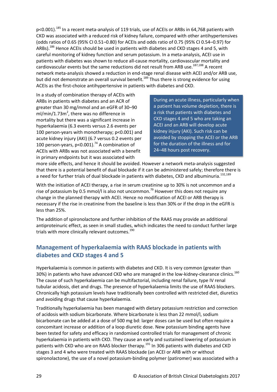p<0.001).<sup>185</sup> In a recent meta-analysis of 119 trials, use of ACEIs or ARBs in 64,768 patients with CKD was associated with a reduced risk of kidney failure, compared with other antihypertensives (odds ratios of 0.65 (95% CI 0.51–0.80) for ACEIs and odds ratio of 0.75 (95% CI 0.54–0.97) for ARBs).<sup>186</sup> Hence ACEIs should be used in patients with diabetes and CKD stages 4 and 5, with careful monitoring of kidney function and serum potassium. In a meta-analysis, ACEI use in patients with diabetes was shown to reduce all-cause mortality, cardiovascular mortality and cardiovascular events but the same reductions did not result from ARB use.<sup>187,188</sup> A recent network meta-analysis showed a reduction in end-stage renal disease with ACEI and/or ARB use, but did not demonstrate an overall survival benefit.<sup>189</sup> Thus there is strong evidence for using ACEIs as the first-choice antihypertensive in patients with diabetes and CKD.

In a study of combination therapy of ACEIs with ARBs in patients with diabetes and an ACR of greater than 30 mg/mmol and an eGFR of 30–90  $ml/min/1.73m<sup>2</sup>$ , there was no difference in mortality but there was a significant increase in hyperkalaemia (6.3 events versus 2.6 events per 100 person-years with monotherapy; p<0.001) and acute kidney injury (AKI) (6.7 versus 0.2 events per 100 person-years, p<0.001). <sup>74</sup> A combination of ACEIs with ARBs was not associated with a benefit in primary endpoints but it was associated with

During an acute illness, particularly when a patient has volume depletion, there is a risk that patients with diabetes and CKD stages 4 and 5 who are taking an ACEI and an ARB will develop acute kidney injury (AKI). Such risk can be avoided by stopping the ACEI or the ARB for the duration of the illness and for 24–48 hours post recovery.

more side effects, and hence it should be avoided. However a network meta-analysis suggested that there is a potential benefit of dual blockade if it can be administered safely; therefore there is a need for further trials of dual blockade in patients with diabetes, CKD and albuminuria.<sup>132,189</sup>

With the initiation of ACEI therapy, a rise in serum creatinine up to 30% is not uncommon and a rise of potassium by 0.5 mmol/l is also not uncommon.<sup>79</sup> However this does not require any change in the planned therapy with ACEI. Hence no modification of ACEI or ARB therapy is necessary if the rise in creatinine from the baseline is less than 30% or if the drop in the eGFR is less than 25%.

The addition of spironolactone and further inhibition of the RAAS may provide an additional antiproteinuric effect, as seen in small studies, which indicates the need to conduct further large trials with more clinically relevant outcomes.<sup>190</sup>

# <span id="page-29-0"></span>**Management of hyperkalaemia with RAAS blockade in patients with diabetes and CKD stages 4 and 5**

Hyperkalaemia is common in patients with diabetes and CKD. It is very common (greater than 30%) in patients who have advanced CKD who are managed in the low-kidney-clearance clinics.<sup>160</sup> The cause of such hyperkalaemia can be multifactorial, including renal failure, type IV renal tubular acidosis, diet and drugs. The presence of hyperkalaemia limits the use of RAAS blockers. Chronically high potassium levels have traditionally been controlled with restricted diet, diuretics and avoiding drugs that cause hyperkalaemia.

Traditionally hyperkalaemia has been managed with dietary potassium restriction and correction of acidosis with sodium bicarbonate. Where bicarbonate is less than 22 mmol/l, sodium bicarbonate can be added at a dose of 500 mg bd: larger doses can be used but often require a concomitant increase or addition of a loop diuretic dose. New potassium binding agents have been tested for safety and efficacy in randomised controlled trials for management of chronic hyperkalaemia in patients with CKD. They cause an early and sustained lowering of potassium in patients with CKD who are on RAAS blocker therapy.<sup>191</sup> In 306 patients with diabetes and CKD stages 3 and 4 who were treated with RAAS blockade (an ACEI or ARB with or without spironolactone), the use of a novel potassium-binding polymer (patiromer) was associated with a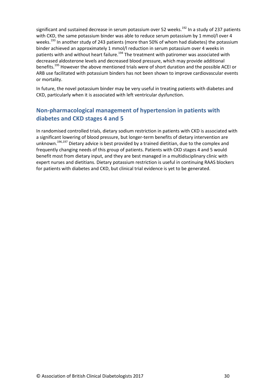significant and sustained decrease in serum potassium over 52 weeks.<sup>192</sup> In a study of 237 patients with CKD, the same potassium binder was able to reduce serum potassium by 1 mmol/l over 4 weeks.<sup>193</sup> In another study of 243 patients (more than 50% of whom had diabetes) the potassium binder achieved an approximately 1 mmol/l reduction in serum potassium over 4 weeks in patients with and without heart failure.<sup>194</sup> The treatment with patiromer was associated with decreased aldosterone levels and decreased blood pressure, which may provide additional benefits.<sup>195</sup> However the above mentioned trials were of short duration and the possible ACEI or ARB use facilitated with potassium binders has not been shown to improve cardiovascular events or mortality.

In future, the novel potassium binder may be very useful in treating patients with diabetes and CKD, particularly when it is associated with left ventricular dysfunction.

# <span id="page-30-0"></span>**Non-pharmacological management of hypertension in patients with diabetes and CKD stages 4 and 5**

In randomised controlled trials, dietary sodium restriction in patients with CKD is associated with a significant lowering of blood pressure, but longer-term benefits of dietary intervention are unknown.<sup>196,197</sup> Dietary advice is best provided by a trained dietitian, due to the complex and frequently changing needs of this group of patients. Patients with CKD stages 4 and 5 would benefit most from dietary input, and they are best managed in a multidisciplinary clinic with expert nurses and dietitians. Dietary potassium restriction is useful in continuing RAAS blockers for patients with diabetes and CKD, but clinical trial evidence is yet to be generated.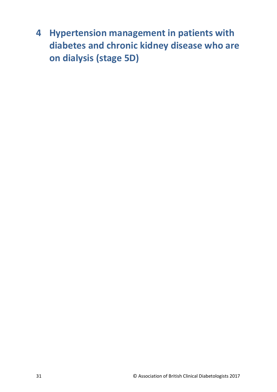<span id="page-31-0"></span>**4 Hypertension management in patients with diabetes and chronic kidney disease who are on dialysis (stage 5D)**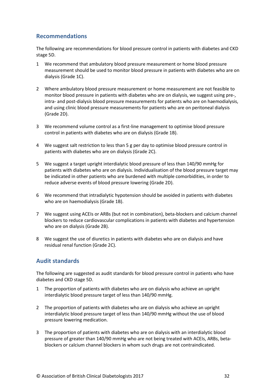## <span id="page-32-0"></span>**Recommendations**

The following are recommendations for blood pressure control in patients with diabetes and CKD stage 5D.

- 1 We recommend that ambulatory blood pressure measurement or home blood pressure measurement should be used to monitor blood pressure in patients with diabetes who are on dialysis (Grade 1C).
- 2 Where ambulatory blood pressure measurement or home measurement are not feasible to monitor blood pressure in patients with diabetes who are on dialysis, we suggest using pre-, intra- and post-dialysis blood pressure measurements for patients who are on haemodialysis, and using clinic blood pressure measurements for patients who are on peritoneal dialysis (Grade 2D).
- 3 We recommend volume control as a first-line management to optimise blood pressure control in patients with diabetes who are on dialysis (Grade 1B).
- 4 We suggest salt restriction to less than 5 g per day to optimise blood pressure control in patients with diabetes who are on dialysis (Grade 2C).
- 5 We suggest a target upright interdialytic blood pressure of less than 140/90 mmHg for patients with diabetes who are on dialysis. Individualisation of the blood pressure target may be indicated in other patients who are burdened with multiple comorbidities, in order to reduce adverse events of blood pressure lowering (Grade 2D).
- 6 We recommend that intradialytic hypotension should be avoided in patients with diabetes who are on haemodialysis (Grade 1B).
- 7 We suggest using ACEIs or ARBs (but not in combination), beta-blockers and calcium channel blockers to reduce cardiovascular complications in patients with diabetes and hypertension who are on dialysis (Grade 2B).
- 8 We suggest the use of diuretics in patients with diabetes who are on dialysis and have residual renal function (Grade 2C).

# <span id="page-32-1"></span>**Audit standards**

The following are suggested as audit standards for blood pressure control in patients who have diabetes and CKD stage 5D.

- 1 The proportion of patients with diabetes who are on dialysis who achieve an upright interdialytic blood pressure target of less than 140/90 mmHg.
- 2 The proportion of patients with diabetes who are on dialysis who achieve an upright interdialytic blood pressure target of less than 140/90 mmHg without the use of blood pressure lowering medication.
- 3 The proportion of patients with diabetes who are on dialysis with an interdialytic blood pressure of greater than 140/90 mmHg who are not being treated with ACEIs, ARBs, betablockers or calcium channel blockers in whom such drugs are not contraindicated.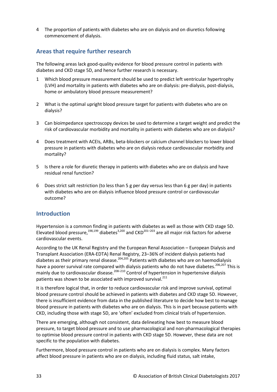4 The proportion of patients with diabetes who are on dialysis and on diuretics following commencement of dialysis.

# <span id="page-33-0"></span>**Areas that require further research**

The following areas lack good-quality evidence for blood pressure control in patients with diabetes and CKD stage 5D, and hence further research is necessary.

- 1 Which blood pressure measurement should be used to predict left ventricular hypertrophy (LVH) and mortality in patients with diabetes who are on dialysis: pre-dialysis, post-dialysis, home or ambulatory blood pressure measurement?
- 2 What is the optimal upright blood pressure target for patients with diabetes who are on dialysis?
- 3 Can bioimpedance spectroscopy devices be used to determine a target weight and predict the risk of cardiovascular morbidity and mortality in patients with diabetes who are on dialysis?
- 4 Does treatment with ACEIs, ARBs, beta-blockers or calcium channel blockers to lower blood pressure in patients with diabetes who are on dialysis reduce cardiovascular morbidity and mortality?
- 5 Is there a role for diuretic therapy in patients with diabetes who are on dialysis and have residual renal function?
- 6 Does strict salt restriction (to less than 5 g per day versus less than 6 g per day) in patients with diabetes who are on dialysis influence blood pressure control or cardiovascular outcome?

### <span id="page-33-1"></span>**Introduction**

Hypertension is a common finding in patients with diabetes as well as those with CKD stage 5D. Elevated blood pressure,  $198,199$  diabetes<sup>3,200</sup> and CKD<sup>201–203</sup> are all major risk factors for adverse cardiovascular events.

According to the UK Renal Registry and the European Renal Association – European Dialysis and Transplant Association (ERA-EDTA) Renal Registry, 23–36% of incident dialysis patients had diabetes as their primary renal disease.<sup>204,205</sup> Patients with diabetes who are on haemodialysis have a poorer survival rate compared with dialysis patients who do not have diabetes.<sup>206,207</sup> This is mainly due to cardiovascular disease.<sup>208-210</sup> Control of hypertension in hypertensive dialysis patients was shown to be associated with improved survival.<sup>211</sup>

It is therefore logical that, in order to reduce cardiovascular risk and improve survival, optimal blood pressure control should be achieved in patients with diabetes and CKD stage 5D. However, there is insufficient evidence from data in the published literature to decide how best to manage blood pressure in patients with diabetes who are on dialysis. This is in part because patients with CKD, including those with stage 5D, are 'often' excluded from clinical trials of hypertension.

There are emerging, although not consistent, data delineating how best to measure blood pressure, to target blood pressure and to use pharmacological and non-pharmacological therapies to optimise blood pressure control in patients with CKD stage 5D. However, these data are not specific to the population with diabetes.

Furthermore, blood pressure control in patients who are on dialysis is complex. Many factors affect blood pressure in patients who are on dialysis, including fluid status, salt intake,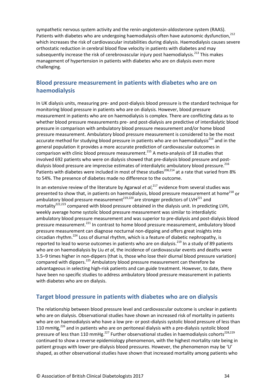sympathetic nervous system activity and the renin-angiotensin-aldosterone system (RAAS). Patients with diabetes who are undergoing haemodialysis often have autonomic dysfunction,<sup>212</sup> which increases the risk of cardiovascular instabilities during dialysis. Haemodialysis causes severe orthostatic reduction in cerebral blood flow velocity in patients with diabetes and may subsequently increase the risk of cerebrovascular injury post haemodialysis.<sup>213</sup> This makes management of hypertension in patients with diabetes who are on dialysis even more challenging.

# <span id="page-34-0"></span>**Blood pressure measurement in patients with diabetes who are on haemodialysis**

In UK dialysis units, measuring pre- and post-dialysis blood pressure is the standard technique for monitoring blood pressure in patients who are on dialysis. However, blood pressure measurement in patients who are on haemodialysis is complex. There are conflicting data as to whether blood pressure measurements pre- and post-dialysis are predictive of interdialytic blood pressure in comparison with ambulatory blood pressure measurement and/or home blood pressure measurement. Ambulatory blood pressure measurement is considered to be the most accurate method for studying blood pressure in patients who are on haemodialysis<sup>214</sup> and in the general population it provides a more accurate prediction of cardiovascular outcomes in comparison with clinic blood pressure measurement.<sup>215</sup> A meta-analysis of 18 studies that involved 692 patients who were on dialysis showed that pre-dialysis blood pressure and postdialysis blood pressure are imprecise estimates of interdialytic ambulatory blood pressure.<sup>216</sup> Patients with diabetes were included in most of these studies<sup>208,214</sup> at a rate that varied from 8% to 54%. The presence of diabetes made no difference to the outcome.

In an extensive review of the literature by Agarwal *et al*, <sup>217</sup> evidence from several studies was presented to show that, in patients on haemodialysis, blood pressure measurement at home<sup>218</sup> or ambulatory blood pressure measurement<sup>219,220</sup> are stronger predictors of LVH<sup>221</sup> and mortality<sup>222,223</sup> compared with blood pressure obtained in the dialysis unit. In predicting LVH, weekly average home systolic blood pressure measurement was similar to interdialytic ambulatory blood pressure measurement and was superior to pre-dialysis and post-dialysis blood pressure measurement.<sup>221</sup> In contrast to home blood pressure measurement, ambulatory blood pressure measurement can diagnose nocturnal non-dipping and offers great insights into circadian rhythm.<sup>224</sup> Loss of diurnal rhythm, which is a feature of diabetic nephropathy, is reported to lead to worse outcomes in patients who are on dialysis.<sup>219</sup> In a study of 89 patients who are on haemodialysis by Liu *et al*, the incidence of cardiovascular events and deaths were 3.5–9 times higher in non-dippers (that is, those who lose their diurnal blood pressure variation) compared with dippers.<sup>225</sup> Ambulatory blood pressure measurement can therefore be advantageous in selecting high-risk patients and can guide treatment. However, to date, there have been no specific studies to address ambulatory blood pressure measurement in patients with diabetes who are on dialysis.

## <span id="page-34-1"></span>**Target blood pressure in patients with diabetes who are on dialysis**

The relationship between blood pressure level and cardiovascular outcome is unclear in patients who are on dialysis. Observational studies have shown an increased risk of mortality in patients who are on haemodialysis who have a low pre- or post-dialysis systolic blood pressure of less than 110 mmHg, $^{226}$  and in patients who are on peritoneal dialysis with a pre-dialysis systolic blood pressure of less than 110 mmHg.<sup>227</sup> Further observational studies in haemodialysis cohorts<sup>228,229</sup> continued to show a reverse epidemiology phenomenon, with the highest mortality rate being in patient groups with lower pre-dialysis blood pressures. However, the phenomenon may be 'U' shaped, as other observational studies have shown that increased mortality among patients who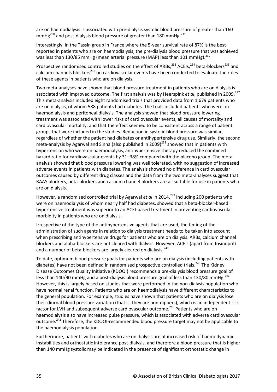are on haemodialysis is associated with pre-dialysis systolic blood pressure of greater than 160 mmHg<sup>230</sup> and post-dialysis blood pressure of greater than 180 mmHg.<sup>231</sup>

Interestingly, in the Tassin group in France where the 5-year survival rate of 87% is the best reported in patients who are on haemodialysis, the pre-dialysis blood pressure that was achieved was less than 130/85 mmHg (mean arterial pressure (MAP) less than 101 mmHg).<sup>232</sup>

Prospective randomised controlled studies on the effect of ARBs,<sup>233</sup> ACEIs,<sup>234</sup> beta-blockers<sup>235</sup> and calcium channels blockers<sup>236</sup> on cardiovascular events have been conducted to evaluate the roles of these agents in patients who are on dialysis.

Two meta-analyses have shown that blood pressure treatment in patients who are on dialysis is associated with improved outcome. The first analysis was by Heerspink *et al*, published in 2009.<sup>237</sup> This meta-analysis included eight randomised trials that provided data from 1,679 patients who are on dialysis, of whom 588 patients had diabetes. The trials included patients who were on haemodialysis and peritoneal dialysis. The analysis showed that blood pressure lowering treatment was associated with lower risks of cardiovascular events, all causes of mortality and cardiovascular mortality, and that the effect seemed to be consistent across a range of patient groups that were included in the studies. Reduction in systolic blood pressure was similar, regardless of whether the patient had diabetes or antihypertensive drug use. Similarly, the second meta-analysis by Agarwal and Sinha (also published in 2009)<sup>238</sup> showed that in patients with hypertension who were on haemodialysis, antihypertensive therapy reduced the combined hazard ratio for cardiovascular events by 31–38% compared with the placebo group. The metaanalysis showed that blood pressure lowering was well tolerated, with no suggestion of increased adverse events in patients with diabetes. The analysis showed no difference in cardiovascular outcomes caused by different drug classes and the data from the two meta-analyses suggest that RAAS blockers, beta-blockers and calcium channel blockers are all suitable for use in patients who are on dialysis.

However, a randomised controlled trial by Agarwal *et al* in 2014, <sup>239</sup> including 200 patients who were on haemodialysis of whom nearly half had diabetes, showed that a beta-blocker-based hypertensive treatment was superior to an ACEI-based treatment in preventing cardiovascular morbidity in patients who are on dialysis.

Irrespective of the type of the antihypertensive agents that are used, the timing of the administration of such agents in relation to dialysis treatment needs to be taken into account when prescribing antihypertensive drugs for patients who are on dialysis. ARBs, calcium channel blockers and alpha-blockers are not cleared with dialysis. However, ACEIs (apart from fosinopril) and a number of beta-blockers are largely cleared on dialysis.<sup>240</sup>

To date, optimum blood pressure goals for patients who are on dialysis (including patients with diabetes) have not been defined in randomised prospective controlled trials.<sup>240</sup> The Kidney Disease Outcomes Quality Initiative (KDOQI) recommends a pre-dialysis blood pressure goal of less than 140/90 mmHg and a post-dialysis blood pressure goal of less than 130/80 mmHg.<sup>241</sup> However, this is largely based on studies that were performed in the non-dialysis population who have normal renal function. Patients who are on haemodialysis have different characteristics to the general population. For example, studies have shown that patients who are on dialysis lose their diurnal blood pressure variation (that is, they are non-dippers), which is an independent risk factor for LVH and subsequent adverse cardiovascular outcome.<sup>219</sup> Patients who are on haemodialysis also have increased pulse pressure, which is associated with adverse cardiovascular outcome.<sup>242</sup> Therefore, the KDOQI-recommended blood pressure target may not be applicable to the haemodialysis population.

Furthermore, patients with diabetes who are on dialysis are at increased risk of haemodynamic instabilities and orthostatic intolerance post-dialysis, and therefore a blood pressure that is higher than 140 mmHg systolic may be indicated in the presence of significant orthostatic change in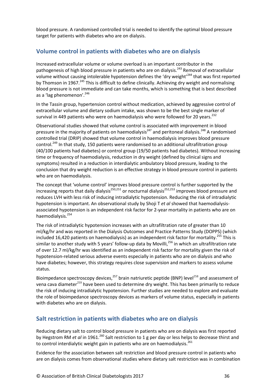blood pressure. A randomised controlled trial is needed to identify the optimal blood pressure target for patients with diabetes who are on dialysis.

## <span id="page-36-0"></span>**Volume control in patients with diabetes who are on dialysis**

Increased extracellular volume or volume overload is an important contributor in the pathogenesis of high blood pressure in patients who are on dialysis.<sup>243</sup> Removal of extracellular volume without causing intolerable hypotension defines the 'dry weight'<sup>244</sup> that was first reported by Thomson in 1967.<sup>245</sup> This is difficult to define clinically. Achieving dry weight and normalising blood pressure is not immediate and can take months, which is something that is best described as a 'lag phenomenon'. 246

In the Tassin group, hypertension control without medication, achieved by aggressive control of extracellular volume and dietary sodium intake, was shown to be the best single marker of survival in 449 patients who were on haemodialysis who were followed for 20 years.<sup>232</sup>

Observational studies showed that volume control is associated with improvement in blood pressure in the majority of patients on haemodialysis<sup>247</sup> and peritoneal dialysis.<sup>248</sup> A randomised controlled trial (DRIP) showed that volume control in haemodialysis improves blood pressure control.<sup>249</sup> In that study, 150 patients were randomised to an additional ultrafiltration group (40/100 patients had diabetes) or control group (19/50 patients had diabetes). Without increasing time or frequency of haemodialysis, reduction in dry weight (defined by clinical signs and symptoms) resulted in a reduction in interdialytic ambulatory blood pressure, leading to the conclusion that dry weight reduction is an effective strategy in blood pressure control in patients who are on haemodialysis.

The concept that 'volume control' improves blood pressure control is further supported by the increasing reports that daily dialysis<sup>250,251</sup> or nocturnal dialysis<sup>252,253</sup> improves blood pressure and reduces LVH with less risk of inducing intradialytic hypotension. Reducing the risk of intradialytic hypotension is important. An observational study by Shoji T *et al* showed that haemodialysisassociated hypotension is an independent risk factor for 2-year mortality in patients who are on haemodialysis.<sup>254</sup>

The risk of intradialytic hypotension increases with an ultrafiltration rate of greater than 10 ml/kg/hr and was reported in the Dialysis Outcomes and Practice Patterns Study (DOPPS) (which included 16,420 patients on haemodialysis) as an independent risk factor for mortality.<sup>255</sup> This is similar to another study with 5 years' follow-up data by Movilli,<sup>256</sup> in which an ultrafiltration rate of over 12.7 ml/kg/hr was identified as an independent risk factor for mortality given the risk of hypotension-related serious adverse events especially in patients who are on dialysis and who have diabetes; however, this strategy requires close supervision and markers to assess volume status.

Bioimpedance spectroscopy devices.<sup>257</sup> brain natriuretic peptide (BNP) level<sup>258</sup> and assessment of vena cava diameter<sup>259</sup> have been used to determine dry weight. This has been primarily to reduce the risk of inducing intradialytic hypotension. Further studies are needed to explore and evaluate the role of bioimpedance spectroscopy devices as markers of volume status, especially in patients with diabetes who are on dialysis.

## <span id="page-36-1"></span>**Salt restriction in patients with diabetes who are on dialysis**

Reducing dietary salt to control blood pressure in patients who are on dialysis was first reported by Hegstrom RM *et al* in 1961.260 Salt restriction to 1 g per day or less helps to decrease thirst and to control interdialytic weight gain in patients who are on haemodialysis.<sup>261</sup>

Evidence for the association between salt restriction and blood pressure control in patients who are on dialysis comes from observational studies where dietary salt restriction was in combination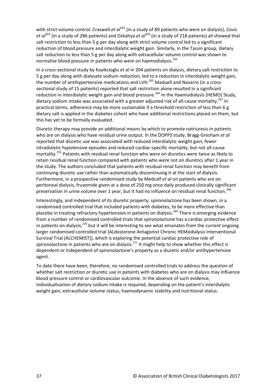with strict volume control. Craswell *et al*<sup>262</sup> (in a study of 89 patients who were on dialysis), Covic *et al*<sup>263</sup> (in a study of 286 patients) and Ozkahya *et al*<sup>264</sup> (in a study of 218 patients) all showed that salt restriction to less than 5 g per day along with strict volume control led to a significant reduction of blood pressure and interdialytic weight gain. Similarly, in the Tassin group, dietary salt reduction to less than 5 g per day along with extracellular volume control was shown to normalise blood pressure in patients who were on haemodialysis.<sup>232</sup>

In a cross-sectional study by Kayikcioglu *et al* in 204 patients on dialysis, dietary salt restriction to 5 g per day along with dialysate sodium reduction, led to a reduction in interdialytic weight gain, the number of antihypertensive medications and LVH.<sup>265</sup> Maduell and Navarro (in a crosssectional study of 15 patients) reported that salt restriction alone resulted in a significant reduction in interdialytic weight gain and blood pressure.<sup>266</sup> In the Haemodialysis (HEMO) Study, dietary sodium intake was associated with a greater adjusted risk of all-cause mortality.<sup>267</sup> In practical terms, adherence may be more sustainable if a threshold restriction of less than 6 g dietary salt is applied in the diabetes cohort who have additional restrictions placed on them, but this has yet to be formally evaluated.

Diuretic therapy may provide an additional means by which to promote natriuresis in patients who are on dialysis who have residual urine output. In the DOPPS study, Bragg-Gresham *et al* reported that diuretic use was associated with reduced interdialytic weight gain, fewer intradialytic hypotensive episodes and reduced cardiac-specific mortality, but not all-cause mortality.<sup>255</sup> Patients with residual renal function who were on diuretics were twice as likely to retain residual renal function compared with patients who were not on diuretics after 1 year in the study. The authors concluded that patients with residual renal function may benefit from continuing diuretic use rather than automatically discontinuing it at the start of dialysis. Furthermore, in a prospective randomised study by Medcalf *et al* on patients who are on peritoneal dialysis, frusemide given at a dose of 250 mg once daily produced clinically significant preservation in urine volume over 1 year, but it had no influence on residual renal function.<sup>268</sup>

Interestingly, and independent of its diuretic property, spironolactone has been shown, in a randomised controlled trial that included patients with diabetes, to be more effective than placebo in treating refractory hypertension in patients on dialysis.<sup>269</sup> There is emerging evidence from a number of randomised controlled trials that spironolactone has a cardiac protective effect in patients on dialysis,<sup>270</sup> but it will be interesting to see what emanates from the current ongoing larger randomised controlled trial (ALdosterone Antagonist Chronic HEModialysis Interventional Survival Trial (ALCHEMIST)), which is exploring the potential cardiac protective role of spironolactone in patients who are on dialysis.<sup>271</sup> It might help to show whether this effect is dependent or independent of spironolactone's property as a diuretic and/or antihypertensive agent.

To date there have been, therefore, no randomised controlled trials to address the question of whether salt restriction or diuretic use in patients with diabetes who are on dialysis may influence blood pressure control or cardiovascular outcome. In the absence of such evidence, individualisation of dietary sodium intake is required, depending on the patient's interdialytic weight gain, extracellular volume status, haemodynamic stability and nutritional status.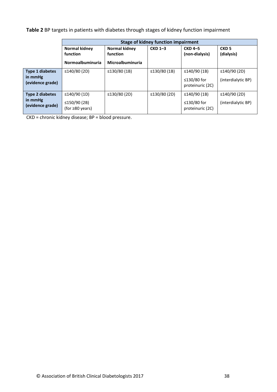**Table 2** BP targets in patients with diabetes through stages of kidney function impairment

|                             | <b>Stage of kidney function impairment</b> |                         |                    |                                 |                    |  |  |
|-----------------------------|--------------------------------------------|-------------------------|--------------------|---------------------------------|--------------------|--|--|
|                             | Normal kidney                              | Normal kidney           | $CKD$ 1-3          | <b>CKD 4-5</b>                  | CKD <sub>5</sub>   |  |  |
|                             | function                                   | function                |                    | (non-dialysis)                  | (dialysis)         |  |  |
|                             | <b>Normoalbuminuria</b>                    | <b>Microalbuminuria</b> |                    |                                 |                    |  |  |
| <b>Type 1 diabetes</b>      | $\leq$ 140/80 (2D)                         | ≤130/80 $(1B)$          | $\leq$ 130/80 (1B) | $\leq$ 140/90 (1B)              | $\leq$ 140/90 (2D) |  |  |
| in mmHg<br>(evidence grade) |                                            |                         |                    | ≤130/80 for<br>proteinuric (2C) | (interdialytic BP) |  |  |
| <b>Type 2 diabetes</b>      | $\leq$ 140/90 (1D)                         | $\leq$ 130/80 (2D)      | $\leq$ 130/80 (2D) | $\leq$ 140/90 (1B)              | ≤140/90 $(2D)$     |  |  |
| in mmHg<br>(evidence grade) | ≤150/90 $(2B)$<br>(for $\geq 80$ years)    |                         |                    | ≤130/80 for<br>proteinuric (2C) | (interdialytic BP) |  |  |

CKD = chronic kidney disease; BP = blood pressure.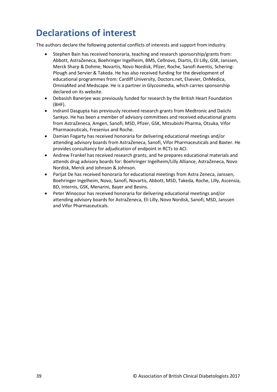# <span id="page-39-0"></span>**Declarations of interest**

The authors declare the following potential conflicts of interests and support from industry.

- Stephen Bain has received honoraria, teaching and research sponsorship/grants from: Abbott, AstraZeneca, Boehringer Ingelheim, BMS, Cellnovo, Diartis, Eli Lilly, GSK, Janssen, Merck Sharp & Dohme, Novartis, Novo Nordisk, Pfizer, Roche, Sanofi Aventis, Schering-Plough and Servier & Takeda. He has also received funding for the development of educational programmes from: Cardiff University, Doctors.net, Elsevier, OnMedica, OmniaMed and Medscape. He is a partner in Glycosmedia, which carries sponsorship declared on its website.
- Debasish Banerjee was previously funded for research by the British Heart Foundation (BHF).
- Indranil Dasgupta has previously received research grants from Medtronic and Daiichi Sankyo. He has been a member of advisory committees and received educational grants from AstraZeneca, Amgen, Sanofi, MSD, Pfizer, GSK, Mitsubishi Pharma, Otsuka, Vifor Pharmaceuticals, Fresenius and Roche.
- Damian Fogarty has received honoraria for delivering educational meetings and/or attending advisory boards from AstraZeneca, Sanofi, Vifor Pharmaceuticals and Baxter. He provides consultancy for adjudication of endpoint in RCTs to ACI.
- Andrew Frankel has received research grants, and he prepares educational materials and attends drug advisory boards for: Boehringer Ingelheim/Lilly Alliance, AstraZeneca, Novo Nordisk, Merck and Johnson & Johnson.
- Parijat De has received honoraria for educational meetings from Astra Zeneca, Janssen, Boehringer Ingelheim, Novo, Sanofi, Novartis, Abbott, MSD, Takeda, Roche, Lilly, Ascensia, BD, Internis, GSK, Menarini, Bayer and Besins.
- Peter Winocour has received honoraria for delivering educational meetings and/or attending advisory boards for AstraZeneca, Eli Lilly, Novo Nordisk, Sanofi, MSD, Janssen and Vifor Pharmaceuticals.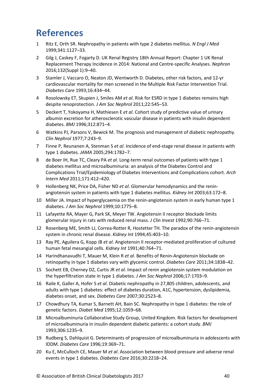# <span id="page-40-0"></span>**References**

- 1 Ritz E, Orth SR. Nephropathy in patients with type 2 diabetes mellitus. *N Engl J Med*  1999;341:1127–33.
- 2 Gilg J, Caskey F, Fogarty D. UK Renal Registry 18th Annual Report: Chapter 1 UK Renal Replacement Therapy Incidence in 2014: National and Centre-specific Analyses. *Nephron* 2016;132(Suppl 1):9–40.
- 3 Stamler J, Vaccaro O, Neaton JD, Wentworth D. Diabetes, other risk factors, and 12-yr cardiovascular mortality for men screened in the Multiple Risk Factor Intervention Trial. *Diabetes Care* 1993;16:434–44.
- 4 Rosolowsky ET, Skupien J, Smiles AM *et al*. Risk for ESRD in type 1 diabetes remains high despite renoprotection. *J Am Soc Nephrol* 2011;22:545–53.
- 5 Deckert T, Yokoyama H, Mathiesen E *et al*. Cohort study of predictive value of urinary albumin excretion for atherosclerotic vascular disease in patients with insulin dependent diabetes. *BMJ* 1996;312:871–4.
- 6 Watkins PJ, Parsons V, Bewick M. The prognosis and management of diabetic nephropathy. *Clin Nephrol* 1977;7:243–9.
- 7 Finne P, Reunanen A, Stenman S *et al*. Incidence of end-stage renal disease in patients with type 1 diabetes. *JAMA* 2005;294:1782–7.
- 8 de Boer IH, Rue TC, Cleary PA *et al*. Long-term renal outcomes of patients with type 1 diabetes mellitus and microalbuminuria: an analysis of the Diabetes Control and Complications Trial/Epidemiology of Diabetes Interventions and Complications cohort. *Arch Intern Med* 2011;171:412–420.
- 9 Hollenberg NK, Price DA, Fisher ND *et al*. Glomerular hemodynamics and the reninangiotensin system in patients with type 1 diabetes mellitus. *Kidney Int* 2003;63:172–8.
- 10 Miller JA. Impact of hyperglycaemia on the renin-angiotensin system in early human type 1 diabetes. *J Am Soc Nephrol* 1999;10:1775–8.
- 11 Lafayette RA, Mayer G, Park SK, Meyer TW. Angiotensin II receptor blockade limits glomerular injury in rats with reduced renal mass. *J Clin Invest* 1992;90:766–71.
- 12 Rosenberg ME, Smith LJ, Correa-Rotter R, Hostetter TH. The paradox of the renin-angiotensin system in chronic renal disease. *Kidney Int* 1994;45:403–10.
- 13 Ray PE, Aguilera G, Kopp JB *et al*. Angiotensin II receptor-mediated proliferation of cultured human fetal mesangial cells. *Kidney Int* 1991;40:764–71.
- 14 Harindhanavudhi T, Mauer M, Klein R *et al*. Benefits of Renin-Angiotensin blockade on retinopathy in type 1 diabetes vary with glycemic control. *Diabetes Care* 2011;34:1838–42.
- 15 Sochett EB, Cherney DZ, Curtis JR *et al*. Impact of renin angiotensin system modulation on the hyperfiltration state in type 1 diabetes. *J Am Soc Nephrol* 2006;17:1703–9.
- 16 Raile K, Galler A, Hofer S *et al*. Diabetic nephropathy in 27,805 children, adolescents, and adults with type 1 diabetes: effect of diabetes duration, A1C, hypertension, dyslipidemia, diabetes onset, and sex. *Diabetes Care* 2007;30:2523–8.
- 17 Chowdhury TA, Kumar S, Barnett AH, Bain SC. Nephropathy in type 1 diabetes: the role of genetic factors. *Diabet Med* 1995;12:1059–68.
- 18 Microalbuminuria Collaborative Study Group, United Kingdom. Risk factors for development of microalbuminuria in insulin dependent diabetic patients: a cohort study. *BMJ*  1993;306:1235–9.
- 19 Rudberg S, Dahlquist G. Determinants of progression of microalbuminuria in adolescents with IDDM. *Diabetes Care* 1996;19:369–71.
- 20 Ku E, McCulloch CE, Mauer M *et al*. Association between blood pressure and adverse renal events in type 1 diabetes. *Diabetes Care* 2016;30:2218–24.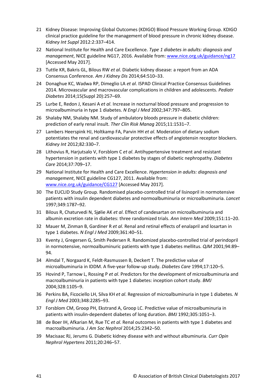- 21 Kidney Disease: Improving Global Outcomes (KDIGO) Blood Pressure Working Group. KDIGO clinical practice guideline for the management of blood pressure in chronic kidney disease. *Kidney Int Suppl* 2012:2:337–414.
- 22 National Institute for Health and Care Excellence. *Type 1 diabetes in adults: diagnosis and management*, NICE guideline NG17, 2016. Available from: [www.nice.org.uk/guidance/ng17](https://www.nice.org.uk/guidance/ng17) [Accessed May 2017].
- 23 Tuttle KR, Bakris GL, Bilous RW *et al*. Diabetic kidney disease: a report from an ADA Consensus Conference. *Am J Kidney Dis* 2014;64:510–33.
- 24 Donaghue KC, Wadwa RP, Dimeglio LA *et al*. ISPAD Clinical Practice Consensus Guidelines 2014. Microvascular and macrovascular complications in children and adolescents. *Pediatr Diabetes* 2014;15(Suppl 20):257–69.
- 25 Lurbe E, Redon J, Kesani A *et al*. Increase in nocturnal blood pressure and progression to microalbuminuria in type 1 diabetes. *N Engl J Med* 2002;347:797–805.
- 26 Shalaby NM, Shalaby NM. Study of ambulatory bloods pressure in diabetic children: prediction of early renal insult. *Ther Clin Risk Manag* 2015;11:1531–7.
- 27 Lambers Heerspink HJ, Holtkamp FA, Parvin HH *et al*. Moderation of dietary sodium potentiates the renal and cardiovascular protective effects of angiotensin receptor blockers. *Kidney Int* 2012;82:330–7.
- 28 Lithovius R, Harjutsalo V, Forsblom C *et al*. Antihypertensive treatment and resistant hypertension in patients with type 1 diabetes by stages of diabetic nephropathy. *Diabetes Care* 2014;37:709–17.
- 29 National Institute for Health and Care Excellence. *Hypertension in adults: diagnosis and management*, NICE guideline CG127, 2011. Available from: [www.nice.org.uk/guidance/CG127](https://www.nice.org.uk/guidance/CG127) [Accessed May 2017].
- 30 The EUCLID Study Group. Randomised placebo-controlled trial of lisinopril in normotensive patients with insulin dependent diabetes and normoalbuminuria or microalbuminuria. *Lancet* 1997;349:1787–92.
- 31 Bilous R, Chaturvedi N, Sjølie AK *et al*. Effect of candesartan on microalbuminuria and albumin excretion rate in diabetes: three randomized trials. *Ann Intern Med* 2009;151:11–20.
- 32 Mauer M, Zinman B, Gardiner R *et al*. Renal and retinal effects of enalapril and losartan in type 1 diabetes. *N Engl J Med* 2009;361:40–51.
- 33 Kventy J, Gregersen G, Smith Pedersen R. Randomized placebo-controlled trial of perindopril in normotensive, normoalbuminuric patients with type 1 diabetes mellitus. *QJM* 2001;94:89– 94.
- 34 Almdal T, Norgaard K, Feldt-Rasmussen B, Deckert T. The predictive value of microalbuminuria in IDDM. A five-year follow-up study. *Diabetes Care* 1994;17:120–5.
- 35 Hovind P, Tarnow L, Rossing P *et al*. Predictors for the development of microalbuminuria and macroalbuminuria in patients with type 1 diabetes: inception cohort study. *BMJ* 2004;328:1105–9.
- 36 Perkins BA, Ficociello LH, Silva KH *et al*. Regression of microalbuminuria in type 1 diabetes. *N Engl J Med* 2003;348:2285–93.
- 37 Forsblom CM, Groop PH, Ekstrand A, Groop LC. Predictive value of microalbuminuria in patients with insulin-dependent diabetes of long duration. *BMJ* 1992;305:1051–3.
- 38 de Boer IH, Afkarian M, Rue TC *et al*. Renal outcomes in patients with type 1 diabetes and macroalbuminuria. *J Am Soc Nephrol* 2014;25:2342–50.
- 39 Macisaac RJ, Jerums G. Diabetic kidney disease with and without albuminuria. *Curr Opin Nephrol Hypertens* 2011;20:246–57.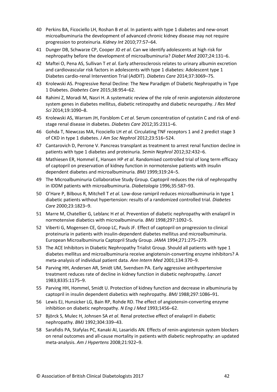- 40 Perkins BA, Ficociello LH, Roshan B *et al*. In patients with type 1 diabetes and new-onset microalbuminuria the development of advanced chronic kidney disease may not require progression to proteinuria. *Kidney Int* 2010;77:57–64.
- 41 Dunger DB, Schwarze CP, Cooper JD *et al*. Can we identify adolescents at high risk for nephropathy before the development of microalbuminuria? *Diabet Med* 2007;24:131–6.
- 42 Maftei O, Pena AS, Sullivan T *et al*. Early atherosclerosis relates to urinary albumin excretion and cardiovascular risk factors in adolescents with type 1 diabetes: Adolescent type 1 Diabetes cardio-renal Intervention Trial (AdDIT). *Diabetes Care* 2014;37:3069–75.
- 43 Krolewski AS. Progressive Renal Decline: The New Paradigm of Diabetic Nephropathy in Type 1 Diabetes. *Diabetes Care* 2015;38:954–62.
- 44 Rahimi Z, Moradi M, Nasri H. A systematic review of the role of renin angiotensin aldosterone system genes in diabetes mellitus, diabetic retinopathy and diabetic neuropathy. *J Res Med Sci* 2014;19:1090–8.
- 45 Krolewski AS, Warram JH, Forsblom C *et al*. Serum concentration of cystatin C and risk of endstage renal disease in diabetes. *Diabetes Care* 2012;35:2311–6.
- 46 Gohda T, Niewczas MA, Ficociello LH *et al*. Circulating TNF receptors 1 and 2 predict stage 3 of CKD in type 1 diabetes. *J Am Soc Nephrol* 2012;23:516–524.
- 47 Cantarovich D, Perrone V. Pancreas transplant as treatment to arrest renal function decline in patients with type 1 diabetes and proteinuria. *Semin Nephrol* 2012;32:432–6.
- 48 Mathiesen ER, Hommel E, Hansen HP *et al*. Randomised controlled trial of long term efficacy of captopril on preservation of kidney function in normotensive patients with insulin dependent diabetes and microalbuminuria. *BMJ* 1999;319:24–5.
- 49 The Microalbuminuria Collaborative Study Group. Captopril reduces the risk of nephropathy in IDDM patients with microalbuminuria. *Diabetologia* 1996;35:587–93.
- 50 O'Hare P, Bilbous R, Mitchell T *et al*. Low-dose ramipril reduces microalbuminuria in type 1 diabetic patients without hypertension: results of a randomized controlled trial. *Diabetes Care* 2000;23:1823–9.
- 51 Marre M, Chatellier G, Leblanc H *et al*. Prevention of diabetic nephropathy with enalapril in normotensive diabetics with microalbuminuria. *BMJ* 1998;297:1092–5.
- 52 Viberti G, Mogensen CE, Groop LC, Pauls JF. Effect of captopril on progression to clinical proteinuria in patients with insulin-dependent diabetes mellitus and microalbuminuria. European Microalbuminuria Captopril Study Group. *JAMA* 1994;271:275–279.
- 53 The ACE Inhibitors in Diabetic Nephropathy Trialist Group. Should all patients with type 1 diabetes mellitus and microalbuminuria receive angiotensin-converting enzyme inhibitors? A meta-analysis of individual patient data. *Ann Intern Med* 2001;134:370–9.
- 54 Parving HH, Andersen AR, Smidt UM, Svendsen PA. Early aggressive antihypertensive treatment reduces rate of decline in kidney function in diabetic nephropathy. *Lancet* 1983;8335:1175–9.
- 55 Parving HH, Hommel, Smidt U. Protection of kidney function and decrease in albuminuria by captopril in insulin dependent diabetics with nephropathy. *BMJ* 1988;297:1086–91.
- 56 Lewis EJ, Hunsicker LG, Bain RP, Rohde RD. The effect of angiotensin-converting enzyme inhibition on diabetic nephropathy. *N Eng J Med* 1993;1456–62.
- 57 Björck S, Mulec H, Johnsen SA *et al*. Renal protective effect of enalapril in diabetic nephropathy. *BMJ* 1992;304:339–43.
- 58 Sarafidis PA, Stafylas PC, Kanaki AI, Lasaridis AN. Effects of renin-angiotensin system blockers on renal outcomes and all-cause mortality in patients with diabetic nephropathy: an updated meta-analysis. *Am J Hypertens* 2008;21:922–9.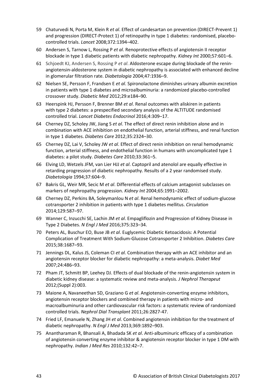- 59 Chaturvedi N, Porta M, Klein R *et al*. Effect of candesartan on prevention (DIRECT-Prevent 1) and progression (DIRECT-Protect 1) of retinopathy in type 1 diabetes: randomised, placebocontrolled trials. *Lancet* 2008;372:1394–402.
- 60 Andersen S, Tarnow L, Rossing P *et al*. Renoprotective effects of angiotensin II receptor blockade in type 1 diabetic patients with diabetic nephropathy. *Kidney Int* 2000;57:601–6.
- 61 Schjoedt KJ, Andersen S, Rossing P *et al*. Aldosterone escape during blockade of the reninangiotensin-aldosterone system in diabetic nephropathy is associated with enhanced decline in glomerular filtration rate. *Diabetologia* 2004;47:1936–9.
- 62 Nielsen SE, Persson F, Frandsen E *et al*. Spironolactone diminishes urinary albumin excretion in patients with type 1 diabetes and microalbuminuria: a randomized placebo-controlled crossover study. *Diabetic Med* 2012;29:e184–90.
- 63 Heerspink HJ, Persson F, Brenner BM *et al*. Renal outcomes with aliskiren in patients with type 2 diabetes: a prespecified secondary analysis of the ALTITUDE randomised controlled trial. *Lancet Diabetes Endocrinol* 2016;4:309–17.
- 64 Cherney DZ, Scholey JW, Jiang S *et al*. The effect of direct renin inhibition alone and in combination with ACE inhibition on endothelial function, arterial stiffness, and renal function in type 1 diabetes. *Diabetes Care* 2012;35:2324–30.
- 65 Cherney DZ, Lai V, Scholey JW *et al*. Effect of direct renin inhibition on renal hemodynamic function, arterial stiffness, and endothelial function in humans with uncomplicated type 1 diabetes: a pilot study. *Diabetes Care* 2010;33:361–5.
- 66 Elving LD, Wetzels JFM, van Lier HJJ *et al*. Captopril and atenolol are equally effective in retarding progression of diabetic nephropathy. Results of a 2 year randomised study. *Diabetologia* 1994;37:604–9.
- 67 Bakris GL, Weir MR, Secic M *et al*. Differential effects of calcium antagonist subclasses on markers of nephropathy progression. *Kidney Int* 2004;65:1991–2002.
- 68 Cherney DZ, Perkins BA, Soleymanlou N *et al*. Renal hemodynamic effect of sodium-glucose cotransporter 2 inhibition in patients with type 1 diabetes mellitus. *Circulation* 2014;129:587–97.
- 69 Wanner C, Inzucchi SE, Lachin JM *et al*[. Empagliflozin and Progression of Kidney Disease in](http://www.ncbi.nlm.nih.gov/pubmed/27299675)  [Type 2 Diabetes.](http://www.ncbi.nlm.nih.gov/pubmed/27299675) *N Engl J Med* 2016;375:323–34.
- 70 Peters AL, Buschur EO, Buse JB *et al*. Euglycemic Diabetic Ketoacidosis: A Potential Complication of Treatment With Sodium-Glucose Cotransporter 2 Inhibition. *Diabetes Care* 2015;38:1687–93.
- 71 Jennings DL, Kalus JS, Coleman CI *et al*. Combination therapy with an ACE inhibitor and an angiotensin receptor blocker for diabetic nephropathy: a meta-analysis. *Diabet Med* 2007;24:486–93.
- 72 Pham JT, Schmitt BP, Leehey DJ. Effects of dual blockade of the renin-angiotensin system in diabetic kidney disease: a systematic review and meta-analysis. *J Nephrol Therapeut* 2012;(Suppl 2):003.
- 73 Maione A, Navaneethan SD, Graziano G *et al*. Angiotensin-converting enzyme inhibitors, angiotensin receptor blockers and combined therapy in patients with micro- and macroalbuminuria and other cardiovascular risk factors: a systematic review of randomized controlled trials. *Nephrol Dial Transplant* 2011;26:2827-47.
- 74 Fried LF, Emanuele N, Zhang JH *et al*. Combined angiotensin inhibition for the treatment of diabetic nephropathy. *N Engl J Med* 2013;369:1892–903.
- 75 Anantharaman R, Bhansali A, Bhadada SK *et al*. Anti-albuminuric efficacy of a combination of angiotensin converting enzyme inhibitor & angiotensin receptor blocker in type 1 DM with nephropathy. *Indian J Med Res* 2010;132:42–7.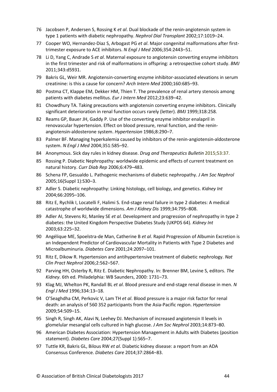- 76 Jacobsen P, Andersen S, Rossing K *et al*. Dual blockade of the renin-angiotensin system in type 1 patients with diabetic nephropathy. *Nephrol Dial Transplant* 2002;17:1019–24.
- 77 Cooper WO, Hernandez-Diaz S, Arbogast PG *et al*. Major congenital malformations after firsttrimester exposure to ACE inhibitors. *N Engl J Med* 2006;354:2443–51.
- 78 Li D, Yang C, Andrade S *et al*. Maternal exposure to angiotensin converting enzyme inhibitors in the first trimester and risk of malformations in offspring: a retrospective cohort study. *BMJ* 2011;343:d5931.
- 79 Bakris GL, Weir MR. Angiotensin-converting enzyme inhibitor-associated elevations in serum creatinine: is this a cause for concern? *Arch Intern Med* 2000;160:685–93.
- 80 Postma CT, Klappe EM, Dekker HM, Thien T. The prevalence of renal artery stenosis among patients with diabetes mellitus. *Eur J Intern Med* 2012;23:639–42.
- 81 Chowdhury TA. Taking precautions with angiotensin converting enzyme inhibitors. Clinically significant deterioration in renal function occurs rarely (letter). *BMJ* 1999;318:258.
- 82 Reams GP, Bauer JH, Gaddy P. Use of the converting enzyme inhibitor enalapril in renovascular hypertension. Effect on blood pressure, renal function, and the reninangiotensin-aldosterone system. *Hypertension* 1986;8:290–7.
- 83 Palmer BF. Managing hyperkalemia caused by inhibitors of the renin-angiotensin-aldosterone system. *N Engl J Med* 2004;351:585–92.
- 84 Anonymous. Sick day rules in kidney disease. *Drug and Therapeutics Bulletin* 2015;53:37.
- 85 Rossing P. Diabetic Nephropathy: worldwide epidemic and effects of current treatment on natural history. *Curr Diab Rep* 2006;6:479–483.
- 86 Schena FP, Gesualdo L. Pathogenic mechanisms of diabetic nephropathy. *J Am Soc Nephrol* 2005;16(Suppl 1):S30–3.
- 87 Adler S. Diabetic nephropathy: Linking histology, cell biology, and genetics. *Kidney Int* 2004;66:2095–106.
- 88 Ritz E, Rychlik I, Locatelli F, Halimi S. End-stage renal failure in type 2 diabetes: A medical catastrophe of worldwide dimensions. *Am J Kidney Dis* 1999;34:795–808.
- 89 Adler AI, Stevens RJ, Manley SE *et al.* Development and progression of nephropathy in type 2 diabetes: the United Kingdom Perspective Diabetes Study (UKPDS 64). *Kidney Int* 2003;63:225–32.
- 90 Angélique ME, Spoelstra-de Man, Catherine B *et al*. Rapid Progression of Albumin Excretion is an Independent Predictor of Cardiovascular Mortality in Patients with Type 2 Diabetes and Microalbuminuria. *Diabetes Care* 2001;24:2097–101.
- 91 Ritz E, Dikow R. Hypertension and antihypertensive treatment of diabetic nephrology. *Nat Clin Pract Nephrol* 2006;2:562–567.
- 92 Parving HH, Osterby R, Ritz E. Diabetic Nephropathy. In: Brenner BM, Levine S, editors. *The Kidney*. 6th ed. Philadelphia: WB Saunders, 2000: 1731–73.
- 93 Klag MJ, Whelton PK, Randall BL *et al*. Blood pressure and end-stage renal disease in men. *N Engl J Med* 1996;334:13–18.
- 94 O'Seaghdha CM, Perkovic V, Lam TH *et al*. Blood pressure is a major risk factor for renal death: an analysis of 560 352 participants from the Asia-Pacific region. *Hypertension* 2009;54:509–15.
- 95 Singh R, Singh AK, Alavi N, Leehey DJ. Mechanism of increased angiotensin II levels in glomelular mesangial cells cultured in high glucose. *J Am Soc Nephrol* 2003;14:873–80.
- 96 American Diabetes Association: Hypertension Management in Adults with Diabetes (position statement). *Diabetes Care* 2004;27(Suppl 1):S65–7.
- 97 Tuttle KR, Bakris GL, Bilous RW *et al*. Diabetic kidney disease: a report from an ADA Consensus Conference. *Diabetes Care* 2014;37:2864–83.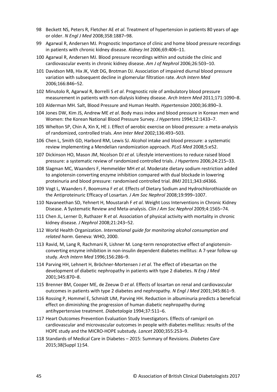- 98 Beckett NS, Peters R, Fletcher AE *et al*. Treatment of hypertension in patients 80 years of age or older. *N Engl J Med* 2008;358:1887–98.
- 99 Agarwal R, Andersen MJ. Prognostic Importance of clinic and home blood pressure recordings in patients with chronic kidney disease. *Kidney Int* 2006;69:406–11.
- 100 Agarwal R, Andersen MJ. Blood pressure recordings within and outside the clinic and cardiovascular events in chronic kidney disease. *Am J of Nephrol* 2006;26:503–10.
- 101 Davidson MB, Hix JK, Vidt DG, Brotman DJ. Association of impaired diurnal blood pressure variation with subsequent decline in glomerular filtration rate. *Arch Intern Med* 2006;166:846–52.
- 102 Minutolo R, Agarwal R, Borrelli S *et al*. Prognostic role of ambulatory blood pressure measurement in patients with non-dialysis kidney disease. *Arch Intern Med* 2011;171:1090–8.
- 103 Alderman MH. Salt, Blood Pressure and Human Health. *Hypertension* 2000;36:890–3.
- 104 Jones DW, Kim JS, Andrew ME *et al*. Body mass index and blood pressure in Korean men wnd Women: the Korean National Blood Pressure Survey. *J Hypertens* 1994;12:1433–7.
- 105 Whelton SP, Chin A, Xin X, HE J. Effect of aerobic exercise on blood pressure: a meta-analysis of randomized, controlled trials. *Ann Inter Med* 2002;136:493–503.
- 106 Chen L, Smith GD, Harbord RM, Lewis SJ. Alcohol intake and blood pressure: a systematic review implementing a Mendelian randomization approach. *PLoS Med* 2008;5:e52.
- 107 Dickinson HO, Mason JM, Nicolson DJ *et al*. Lifestyle interventions to reduce raised blood pressure: a systematic review of randomized controlled trials. *J Hypertens* 2006;24:215–33.
- 108 Slagman MC, Waanders F, Hemmelder MH *et al*. Moderate dietary sodium restriction added to angiotensin converting enzyme inhibition compared with dual blockade in lowering proteinuria and blood pressure: randomised controlled trial. *BMJ* 2011;343:d4366.
- 109 Vogt L, Waanders F, Boomsma F *et al*. Effects of Dietary Sodium and Hydrochlorothiazide on the Antiproteinuric Efficacy of Losartan*. J Am Soc Nephrol* 2008;19:999–1007.
- 110 Navaneethan SD, Yehnert H, Moustarah F *et al*. Weight Loss Interventions in Chronic Kidney Disease. A Systematic Review and Meta-analysis. *Clin J Am Soc Nephrol* 2009;4:1565–74.
- 111 Chen JL, Lerner D, Ruthazer R *et al*. Association of physical activity with mortality in chronic kidney disease*. J Nephrol* 2008;21:243–52.
- 112 World Health Organization. *International guide for monitoring alcohol consumption and related harm*. Geneva: WHO, 2000.
- 113 Ravid, M, Lang R, Rachmani R, Lishner M. Long-term renoprotective effect of angiotensinconverting enzyme inhibition in non-insulin dependent diabetes mellitus: A 7-year follow-up study. *Arch Intern Med* 1996;156:286–9.
- 114 Parving HH, Lehnert H, Bröchner-Mortensen J *et al*. The effect of irbesartan on the development of diabetic nephropathy in patients with type 2 diabetes. *N Eng J Med*  2001;345:870–8.
- 115 Brenner BM, Cooper ME, de Zeeuw D *et al*. Effects of losartan on renal and cardiovascular outcomes in patients with type 2 diabetes and nephropathy. *N Engl J Med* 2001;345:861–9.
- 116 Rossing P, Hommel E, Schmidt UM, Parving HH. Reduction in albuminuria predicts a beneficial effect on diminishing the progression of human diabetic nephropathy during antihypertensive treatment. *Diabetalogia* 1994;37:511–6.
- 117 Heart Outcomes Prevention Evaluation Study Investigators. Effects of ramipril on cardiovascular and microvascular outcomes in people with diabetes mellitus: results of the HOPE study and the MICRO-HOPE substudy. *Lancet* 2000;355:253–9.
- 118 Standards of Medical Care in Diabetes 2015: Summary of Revisions. *Diabetes Care* 2015;38(Suppl 1):S4.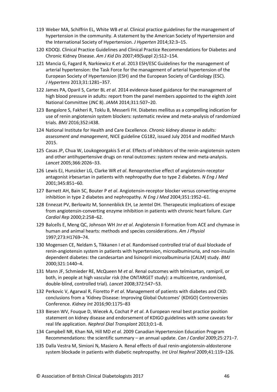- 119 Weber MA, Schiffrin EL, White WB *et al*. Clinical practice guidelines for the management of hypertension in the community. A statement by the American Society of Hypertension and the International Society of Hypertension. *J Hyperten* 2014;32:3–15.
- 120 KDOQI. Clinical Practice Guidelines and Clinical Practice Recommendations for Diabetes and Chronic Kidney Disease. *Am J Kid Dis* 2007;49(Suppl 2):S12–154.
- 121 Mancia G, Fagard R, Narkiewicz K *et al*. 2013 ESH/ESC Guidelines for the management of arterial hypertension: the Task Force for the management of arterial hypertension of the European Society of Hypertension (ESH) and the European Society of Cardiology (ESC). *J Hypertens* 2013;31:1281–357.
- 122 James PA, Oparil S, Carter BL *et al*. 2014 evidence-based guidance for the management of high blood pressure in adults: report from the panel members appointed to the eighth Joint National Committee (JNC 8). *JAMA* 2014;311:507–20.
- 123 Bangalore S, Fakheri R, Toklu B, Messerli FH. Diabetes mellitus as a compelling indication for use of renin angiotensin system blockers: systematic review and meta-analysis of randomized trials. *BMJ* 2016;352:i438.
- 124 National Institute for Health and Care Excellence. *Chronic kidney disease in adults: assessment and management*, NICE guideline CG182, issued July 2014 and modified March 2015.
- 125 Casas JP, Chua W, Loukogeorgakis S *et al*. Effects of inhibitors of the renin-angiotensin system and other antihypertensive drugs on renal outcomes: system review and meta-analysis. *Lancet* 2005;366:2026–33.
- 126 Lewis EJ, Hunsicker LG, Clarke WR *et al*. Renoprotective effect of angiotensin-receptor antagonist irbesartan in patients with nephropathy due to type 2 diabetes. *N Eng J Med* 2001;345:851–60.
- 127 Barnett AH, Bain SC, Bouter P *et al*. Angiotensin-receptor blocker versus converting-enzyme inhibition in type 2 diabetes and nephropathy. *N Eng J Med* 2004;351:1952–61.
- 128 Ennezat PV, Berlowitz M, Sonnenblick EH, Le Jemtel DH. Therapeutic implications of escape from angiotensin-converting enzyme inhibition in patients with chronic heart failure. *Curr Cardiol Rep* 2000;2:258–62.
- 129 Balcells E, Meng QC, Johnson WH Jnr *et al*. Angiotensin II formation from ACE and chymase in human and animal hearts: methods and species considerations. *Am J Physiol*  1997;273:H1769–74.
- 130 Mogensen CE, Neldam S, Tikkanen I *et al*. Randomised controlled trial of dual blockade of renin-angiotensin system in patients with hypertension, microalbuminuria, and non-insulin dependent diabetes: the candesartan and lisinopril microalbuminuria (CALM) study. *BMJ*  2000;321:1440–4.
- 131 Mann JF, Schmieder RE, McQueen M *et al*. Renal outcomes with telmisartan, ramipril, or both, in people at high vascular risk (the ONTARGET study): a multicentre, randomised, double-blind, controlled trial). *Lancet* 2008;372:547–53.
- 132 Perkovic V, Agarwal R, Fioretto P *et al*. Management of patients with diabetes and CKD: conclusions from a 'Kidney Disease: Improving Global Outcomes' (KDIGO) Controversies Conference. *Kidney Int* 2016;90:1175–83
- 133 Biesen WV, Fouque D, Wiecek A, Cochat P *et al*. A European renal best practice position statement on kidney disease and endorsement of KDIGO guidelines with some caveats for real life application. *Nephrol Dial Transplant* 2013;0:1–8.
- 134 Campbell NR, Khan NA, Hill MD *et al*. 2009 Canadian Hypertension Education Program Recommendations: the scientific summary – an annual update. *Can J Cardiol* 2009;25:271–7.
- 135 Dalla Vestra M, Simioni N, Masiero A. Renal effects of dual renin-angiotensin-aldosterone system blockade in patients with diabetic nephropathy. *Int Urol Nephrol* 2009;41:119–126.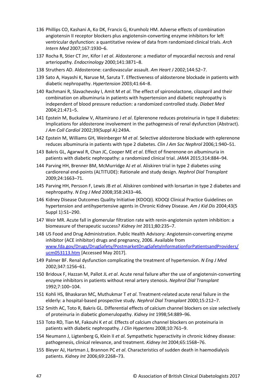- 136 Phillips CO, Kashani A, Ko DK, Francis G, Krumholz HM. Adverse effects of combination angiotensin II receptor blockers plus angiotensin-converting enzyme inhibitors for left ventricular dysfunction: a quantitative review of data from randomized clinical trials. *Arch Intern Med* 2007;167:1930–6.
- 137 Rocha R, Stier CT Jnr, Kifor I *et al*. Aldosterone: a mediator of myocardial necrosis and renal arteriopathy*. Endocrinology* 2000;141:3871–8.
- 138 Struthers AD. Aldosterone: cardiovascular assault. *Am Heart J* 2002;144:S2–7.
- 139 Sato A, Hayashi K, Naruse M, Saruta T. Effectiveness of aldosterone blockade in patients with diabetic nephropathy. *Hypertension* 2003;41:64–8.
- 140 Rachmani R, Slavachevsky I, Amit M *et al*. The effect of spironolactone, cilazapril and their combination on albuminuria in patients with hypertension and diabetic nephropathy is independent of blood pressure reduction: a randomized controlled study. *Diabet Med* 2004;21:471–5.
- 141 Epstein M, Buckalew V, Altamirano J *et al*. Eplerenone reduces proteinuria in type II diabetes: Implications for aldosterone involvement in the pathogenesis of renal dysfunction (Abstract). *J Am Coll Cardiol* 2002;39(Suppl A):249A.
- 142 Epstein M, Williams GH, Weinberger M *et al*. Selective aldosterone blockade with eplerenone reduces albuminuria in patients with type 2 diabetes. *Clin J Am Soc Nephrol* 2006;1:940–51.
- 143 Bakris GL, Agarwal R, Chan JC, Cooper ME *et al*. Effect of finerenone on albuminuria in patients with diabetic nephropathy: a randomized clinical trial. *JAMA* 2015;314:884–94.
- 144 Parving HH, Brenner BM, McMurridge AJ *et al*. Aliskiren trial in type 2 diabetes using cardiorenal end-points (ALTITUDE): Rationale and study design. *Nephrol Dial Transplant* 2009;24:1663–71.
- 145 Parving HH, Persson F, Lewis JB *et al*. Aliskiren combined with lorsartan in type 2 diabetes and nephropathy. *N Eng J Med* 2008;358:2433–46.
- 146 Kidney Disease Outcomes Quality Initiative (KDOQI). KDOQI Clinical Practice Guidelines on hypertension and antihypertensive agents in Chronic Kidney Disease. *Am J Kid Dis* 2004;43(5 Suppl 1):S1–290.
- 147 Weir MR. Acute fall in glomerular filtration rate with renin-angiotensin system inhibition: a biomeasure of therapeutic success? *Kidney Int* 2011;80:235–7.
- 148 US Food and Drug Administration. Public Health Advisory: Angiotensin-converting enzyme inhibitor (ACE inhibitor) drugs and pregnancy, 2006. Available from [www.fda.gov/Drugs/DrugSafety/PostmarketDrugSafetyInformationforPatientsandProviders/](https://www.fda.gov/Drugs/DrugSafety/PostmarketDrugSafetyInformationforPatientsandProviders/DrugSafetyInformationforHeathcareProfessionals/ucm083944.htm) ucm053113.htm [Accessed May 2017].
- 149 Palmer BF. Renal dysfunction complicating the treatment of hypertension. *N Eng J Med* 2002;347:1256–61.
- 150 Bridoux F, Hazzan M, Pallot JL *et al*. Acute renal failure after the use of angiotensin-converting enzyme inhibitors in patients without renal artery stenosis. *Nephrol Dial Transplant* 1992;7:100–104.
- 151 Kohli HS, Bhaskaran MC, Muthukmar T *et al*. Treatment-related acute renal failure in the elderly: a hospital-based prospective study. *Nephrol Dial Transplant* 2000;15:212–7.
- 152 Smith AC, Toto R, Bakris GL. Differential effects of calcium channel blockers on size selectively of proteinuria in diabetic glomerulopathy. *Kidney Int* 1998;54:889–96.
- 153 Toto RD, Tian M, Fakouhi K *et al*. Effects of calcium channel blockers on proteinuria in patients with diabetic nephropathy. *J Clin Hypertens* 2008;10:761–9.
- 154 Neumann J, Ligtenberg G, Klein II *et al*. Sympathetic hyperactivity in chronic kidney disease: pathogenesis, clinical relevance, and treatment. *Kidney Int* 2004;65:1568–76.
- 155 Bleyer AJ, Hartman J, Brannon PC *et al*. Characteristics of sudden death in haemodialysis patients. *Kidney Int* 2006;69:2268–73.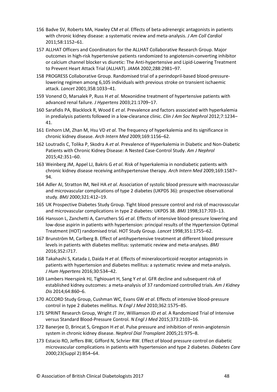- 156 Badve SV, Roberts MA, Hawley CM *et al*. Effects of beta-adrenergic antagonists in patients with chronic kidney disease: a systematic review and meta-analysis. *J Am Coll Cardiol* 2011;58:1152–61.
- 157 ALLHAT Officers and Coordinators for the ALLHAT Collaborative Research Group. Major outcomes in high-risk hypertensive patients randomized to angiotensin-converting inhibitor or calcium channel blocker vs diuretic: The Anti-hypertensive and Lipid-Lowering Treatment to Prevent Heart Attack Trial (ALLHAT). *JAMA* 2002;288:2981–97.
- 158 PROGRESS Collaborative Group. Randomised trial of a perindopril-based blood-pressurelowering regimen among 6,105 individuals with previous stroke on transient ischaemic attack. *Lancet* 2001;358:1033–41.
- 159 Vonend O, Marsalek P, Russ H *et al*. Moxonidine treatment of hypertensive patients with advanced renal failure. *J Hypertens* 2003;21:1709–17.
- 160 Sarafidis PA, Blacklock R, Wood E *et al*. Prevalence and factors associated with hyperkalemia in predialysis patients followed in a low-clearance clinic. *Clin J Am Soc Nephrol* 2012;7:1234– 41.
- 161 Einhorn LM, Zhan M, Hsu VD *et al*. The frequency of hyperkalemia and its significance in chronic kidney disease. *Arch Intern Med* 2009;169:1156–62.
- 162 Loutradis C, Tolika P, Skodra A *et al*. Prevalence of Hyperkalemia in Diabetic and Non-Diabetic Patients with Chronic Kidney Disease: A Nested Case-Control Study. *Am J Nephrol* 2015;42:351–60.
- 163 Weinberg JM, Appel LJ, Bakris G *et al*. Risk of hyperkalemia in nondiabetic patients with chronic kidney disease receiving antihypertensive therapy. *Arch Intern Med* 2009;169:1587– 94.
- 164 Adler AI, Stratton IM, Neil HA *et al*. Association of systolic blood pressure with macrovascular and microvascular complications of type 2 diabetes (UKPDS 36): prospective observational study. *BMJ* 2000;321:412–19.
- 165 UK Prospective Diabetes Study Group. Tight blood pressure control and risk of macrovascular and microvascular complications in type 2 diabetes: UKPDS 38. *BMJ* 1998;317:703–13.
- 166 Hansson L, Zanchetti A, Carruthers SG *et al*. Effects of intensive blood-pressure lowering and low-dose aspirin in patients with hypertension: principal results of the Hypertension Optimal Treatment (HOT) randomised trial. HOT Study Group. *Lancet* 1998;351:1755–62.
- 167 Brunström M, Carlberg B. Effect of antihypertensive treatment at different blood pressure levels in patients with diabetes mellitus: systematic review and meta-analyses. *BMJ* 2016;352:i717.
- 168 Takahashi S, Katada J, Daida H *et al*. Effects of mineralocorticoid receptor antagonists in patients with hypertension and diabetes mellitus: a systematic review and meta-analysis. *J Hum Hypertens* 2016;30:534–42.
- 169 Lambers Heerspink HJ, Tighiouart H, Sang Y *et al*. GFR decline and subsequent risk of established kidney outcomes: a meta-analysis of 37 randomized controlled trials. *Am J Kidney Dis* 2014;64:860–6.
- 170 ACCORD Study Group, Cushman WC, Evans GW *et al*. Effects of intensive blood-pressure control in type 2 diabetes mellitus. *N Engl J Med* 2010;362:1575–85.
- 171 SPRINT Research Group, Wright JT Jnr, Williamson JD *et al*. A Randomized Trial of Intensive versus Standard Blood-Pressure Control. *N Engl J Med* 2015;373:2103–16.
- 172 Banerjee D, Brincat S, Gregson H *et al*. Pulse pressure and inhibition of renin-angiotensin system in chronic kidney disease. *Nephrol Dial Transplant* 2005;21:975–8.
- 173 Estacio RO, Jeffers BW, Gifford N, Schrier RW. Effect of blood pressure control on diabetic microvascular complications in patients with hypertension and type 2 diabetes. *Diabetes Care*  2000;23(Suppl 2):B54–64.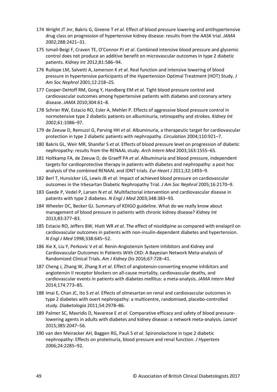- 174 Wright JT Jnr, Bakris G, Greene T *et al*. Effect of blood pressure lowering and antihypertensive drug class on progression of hypertensive kidney disease: results from the AASK trial. *JAMA* 2002;288:2421–31.
- 175 Ismail-Beigi F, Craven TE, O'Connor PJ *et al*. Combined intensive blood pressure and glycemic control does not produce an additive benefit on microvascular outcomes in type 2 diabetic patients. *Kidney Int* 2012;81:586–94.
- 176 Ruilope LM, Salvetti A, Jamerson K *et al*. Real function and intensive lowering of blood pressure in hypertensive participants of the Hypertension Optimal Treatment (HOT) Study. *J Am Soc Nephrol* 2001;12:218–25.
- 177 Cooper-DeHoff RM, Gong Y, Handberg EM *et al*. Tight blood pressure control and cardiovascular outcomes among hypertensive patients with diabetes and coronary artery disease. *JAMA* 2010;304:61–8.
- 178 Schrier RW, Estacio RO, Esler A, Mehler P. Effects of aggressive blood pressure control in normotensive type 2 diabetic patients on albuminuria, retinopathy and strokes. *Kidney Int*  2002;61:1086–97.
- 179 de Zeeuw D, Remuzzi G, Parving HH *et al*. Albuminuria, a therapeutic target for cardiovascular protection in type 2 diabetic patients with nephropathy. *Circulation* 2004;110:921–7.
- 180 Bakris GL, Weir MR, Shanifar S *et al*. Effects of blood pressure level on progression of diabetic nephropathy: results from the RENAAL study. *Arch Intern Med* 2003;163:1555–65.
- 181 Holtkamp FA, de Zeeuw D, de Graeff PA *et al*. Albuminuria and blood pressure, independent targets for cardioprotective therapy in patients with diabetes and nephropathy: a post hoc analysis of the combined RENAAL and IDNT trials. *Eur Heart J* 2011;32:1493–9.
- 182 Berl T, Hunsicker LG, Lewis JB *et al*. Impact of achieved blood pressure on cardiovascular outcomes in the Irbesartan Diabetic Nephropathy Trial. *J Am Soc Nephrol* 2005;16:2170–9.
- 183 Gaede P, Vedel P, Larsen N *et al*. Multifactorial intervention and cardiovascular disease in patients with type 2 diabetes. *N Engl J Med* 2003;348:383–93.
- 184 Wheeler DC, Becker GJ. Summary of KDIGO guideline. What do we really know about management of blood pressure in patients with chronic kidney disease? *Kidney Int* 2013;83:377–83.
- 185 Estacio RO, Jeffers BW, Hiatt WR *et al*. The effect of nisoldipine as compared with enalapril on cardiovascular outcomes in patients with non-insulin-dependent diabetes and hypertension. *N Engl J Med* 1998;338:645–52.
- 186 Xie X, Liu Y, Perkovic V *et al*. Renin-Angiotensin System Inhibitors and Kidney and Cardiovascular Outcomes in Patients With CKD: A Bayesian Network Meta-analysis of Randomized Clinical Trials. *Am J Kidney Dis* 2016;67:728–41.
- 187 Cheng J, Zhang W, Zhang X *et al*. Effect of angiotensin-converting enzyme inhibitors and angiotensin II receptor blockers on all-cause mortality, cardiovascular deaths, and cardiovascular events in patients with diabetes mellitus: a meta-analysis. *JAMA Intern Med* 2014;174:773–85.
- 188 Imai E, Chan JC, Ito S *et al*. Effects of olmesartan on renal and cardiovascular outcomes in type 2 diabetes with overt nephropathy: a multicentre, randomised, placebo-controlled study. *Diabetologia* 2011;54:2978–86.
- 189 Palmer SC, Mavridis D, Navarese E *et al*. Comparative efficacy and safety of blood pressurelowering agents in adults with diabetes and kidney disease: a network meta-analysis. *Lancet* 2015;385:2047–56.
- 190 van den Meiracker AH, Baggen RG, Pauli S *et al*. Spironolactone in type 2 diabetic nephropathy: Effects on proteinuria, blood pressure and renal function. *J Hypertens* 2006;24:2285–92.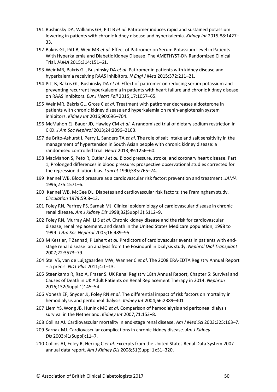- 191 Bushinsky DA, Williams GH, Pitt B *et al*. Patiromer induces rapid and sustained potassium lowering in patients with chronic kidney disease and hyperkalemia. *Kidney Int* 2015;88:1427– 33.
- 192 Bakris GL, Pitt B, Weir MR *et al*. Effect of Patiromer on Serum Potassium Level in Patients With Hyperkalemia and Diabetic Kidney Disease: The AMETHYST-DN Randomized Clinical Trial. *JAMA* 2015;314:151–61.
- 193 Weir MR, Bakris GL, Bushinsky DA *et al*. Patiromer in patients with kidney disease and hyperkalemia receiving RAAS inhibitors. *N Engl J Med* 2015;372:211–21.
- 194 Pitt B, Bakris GL, Bushinsky DA *et al*. Effect of patiromer on reducing serum potassium and preventing recurrent hyperkalaemia in patients with heart failure and chronic kidney disease on RAAS inhibitors. *Eur J Heart Fail* 2015;17:1057–65.
- 195 Weir MR, Bakris GL, Gross C *et al*. Treatment with patiromer decreases aldosterone in patients with chronic kidney disease and hyperkalemia on renin-angiotensin system inhibitors. *Kidney Int* 2016;90:696–704.
- 196 McMahon EJ, Bauer JD, Hawley CM *et al*. A randomized trial of dietary sodium restriction in CKD. *J Am Soc Nephrol* 2013;24:2096–2103.
- 197 de Brito-Ashurst I, Perry L, Sanders TA *et al*. The role of salt intake and salt sensitivity in the management of hypertension in South Asian people with chronic kidney disease: a randomised controlled trial. *Heart* 2013;99:1256–60.
- 198 MacMahon S, Peto R, Cutler J *et al.* Blood pressure, stroke, and coronary heart disease. Part 1, Prolonged differences in blood pressure: prospective observational studies corrected for the regression dilution bias. *Lancet* 1990;335:765–74.
- 199 Kannel WB. Blood pressure as a cardiovascular risk factor: prevention and treatment. *JAMA* 1996;275:1571–6.
- 200 Kannel WB, McGee DL. Diabetes and cardiovascular risk factors: the Framingham study. *Circulation* 1979;59:8–13.
- 201 Foley RN, Parfrey PS, Sarnak MJ. Clinical epidemiology of cardiovascular disease in chronic renal disease. *Am J Kidney Dis* 1998;32(Suppl 3):S112–9.
- 202 Foley RN, Murray AM, Li S *et al*. Chronic kidney disease and the risk for cardiovascular disease, renal replacement, and death in the United States Medicare population, 1998 to 1999. *J Am Soc Nephrol* 2005;16:489–95.
- 203 M Kessler, F Zannad, P Lehert *et al.* Predictors of cardiovascular events in patients with endstage renal disease: an analysis from the Fosinopril in Dialysis study. *Nephrol Dial Transplant* 2007;22:3573–79.
- 204 Stel VS, van de Luijtgaarden MW, Wanner C *et al*. The 2008 ERA-EDTA Registry Annual Report – a précis. *NDT Plus* 2011;4:1–13.
- 205 Steenkamp R, Rao A, Fraser S. UK Renal Registry 18th Annual Report, Chapter 5: Survival and Causes of Death in UK Adult Patients on Renal Replacement Therapy in 2014. *Nephron* 2016;132(Suppl 1)145–54.
- 206 Vonesh EF, Snyder JJ, Foley RN *et al*. The differential impact of risk factors on mortality in hemodialysis and peritoneal dialysis. *Kidney Int* 2004;66:2389–401
- 207 Liem YS,Wong JB, Hunink MG *et al*. Comparison of hemodialysis and peritoneal dialysis survival in the Netherland. *[Kidney](http://www.sciencedirect.com/science/journal/00852538) Int* 2007;71:153–8.
- 208 Collins AJ. Cardiovascular mortality in end-stage renal disease. *[Am J Med Sci](https://www.ncbi.nlm.nih.gov/pubmed/12695721)* 2003;325:163–7.
- 209 Sarnak MJ. Cardiovascular complications in chronic kidney disease. *Am J Kidney Dis* 2003;41(Suppl):11–7.
- 210 Collins AJ, Foley R, Herzog C *et al*. Excerpts from the United States Renal Data System 2007 annual data report. *Am J Kidney Dis* 2008;51(Suppl 1):S1–320.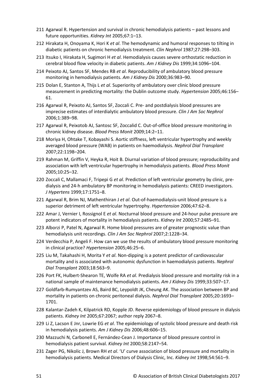- 211 Agarwal R. Hypertension and survival in chronic hemodialysis patients past lessons and future opportunities. *Kidney Int* 2005;67:1–13.
- 212 Hirakata H, Onoyama K, Hori K *et al*. The hemodynamic and humoral responses to tilting in diabetic patients on chronic hemodialysis treatment. *Clin Nephrol* 1987;27:298–303.
- 213 Itsuko I, Hirakata H, Sugimori H *et al*. Hemodialysis causes severe orthostatic reduction in cerebral blood flow velocity in diabetic patients. *Am J [Kidney](http://www.sciencedirect.com/science/journal/02726386) Dis* 1999[;34:](http://www.sciencedirect.com/science/journal/02726386/34/6)1096–104.
- 214 Peixoto AJ, Santos SF, Mendes RB *et al*. Reproducibility of ambulatory blood pressure monitoring in hemodialysis patients. *Am J Kidney Dis* 2000;36:983–90.
- 215 Dolan E, Stanton A, Thijs L *et al*. Superiority of ambulatory over clinic blood pressure measurement in predicting mortality: the Dublin outcome study. *Hypertension* 2005;46:156– 61.
- 216 Agarwal R, Peixoto AJ, Santos SF, Zoccali C. Pre- and postdialysis blood pressures are imprecise estimates of interdialytic ambulatory blood pressure. *Clin J Am Soc Nephrol* 2006;1:389–98.
- 217 Agarwal R, Peixotob AJ, Santosc SF, Zoccalid C. Out-of-office blood pressure monitoring in chronic kidney disease. *Blood Press Monit* 2009;14:2–11.
- 218 Moriya H, Ohtake T, Kobayashi S. Aortic stiffness, left ventricular hypertrophy and weekly averaged blood pressure (WAB) in patients on haemodialysis. *Nephrol Dial Transplant*  2007;22:1198–204.
- 219 Rahman M, Griffin V, Heyka R, Hoit B. Diurnal variation of blood pressure; reproducibility and association with left ventricular hypertrophy in hemodialysis patients. *Blood Press Monit* 2005;10:25–32.
- 220 Zoccali C, Mallamaci F, Tripepi G *et al*. Prediction of left ventricular geometry by clinic, predialysis and 24-h ambulatory BP monitoring in hemodialysis patients: CREED investigators. *J Hypertens* 1999;17:1751–8.
- 221 Agarwal R, Brim NJ, Mathenthiran J *et al*. Out-of-haemodialysis-unit blood pressure is a superior detriment of left ventricular hypertrophy. *Hypertension* 2006;47:62–8.
- 222 Amar J, Vernier I, Rossignol E *et al*. Nocturnal blood pressure and 24-hour pulse pressure are potent indicators of mortality in hemodialysis patients. *Kidney Int* 2000;57:2485–91.
- 223 Alborzi P, Patel N, Agarwal R. Home blood pressures are of greater prognostic value than hemodialysis unit recordings. *Clin J Am Soc Nephrol* 2007;2:1228–34.
- 224 Verdecchia P, Angeli F. How can we use the results of ambulatory blood pressure monitoring in clinical practice? *Hypertension* 2005;46:25–6.
- 225 Liu M, Takahashi H, Morita Y *et al*. Non-dipping is a potent predictor of cardiovascular mortality and is associated with autonomic dysfunction in haemodialysis patients. *Nephrol Dial Transplant* 2003;18:563–9.
- 226 Port FK, Hulbert-Shearon TE, Wolfe RA *et al*. Predialysis blood pressure and mortality risk in a national sample of maintenance hemodialysis patients. *Am J Kidney Dis* 1999;33:507–17.
- 227 Goldfarb-Rumyantzev AS, Baird BC, Leypoldt JK, Cheung AK. The association between BP and mortality in patients on chronic peritoneal dialysis. *Nephrol Dial Transplant* 2005;20:1693– 1701.
- 228 Kalantar-Zadeh K, Kilpatrick RD, Kopple JD. Reverse epidemiology of blood pressure in dialysis patients. *Kidney Int* 2005;67:2067; author reply 2067–8.
- 229 Li Z, Lacson E Jnr, Lowrie EG *et al*. The epidemiology of systolic blood pressure and death risk in hemodialysis patients. *Am J Kidney Dis* 2006;48:606–15.
- 230 Mazzuchi N, Carbonell E, Fernández-Cean J. Importance of blood pressure control in hemodialysis patient survival. *Kidney Int* 2000;58:2147–54.
- 231 Zager PG, Nikolic J, Brown RH *et al*. 'U' curve association of blood pressure and mortality in hemodialysis patients. Medical Directors of Dialysis Clinic, Inc. *Kidney Int* 1998;54:561–9.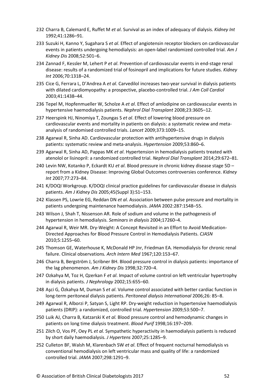- 232 Charra B, Calemard E, Ruffet M *et al*. Survival as an index of adequacy of dialysis. *Kidney Int* 1992;41:1286–91.
- 233 Suzuki H, Kanno Y, Sugahara S *et al*. Effect of angiotensin receptor blockers on cardiovascular events in patients undergoing hemodialysis: an open-label randomized controlled trial. *Am J Kidney Dis* 2008;52:501–6.
- 234 Zannad F, Kessler M, Lehert P *et al*. Prevention of cardiovascular events in end-stage renal disease: results of a randomized trial of fosinopril and implications for future studies. *Kidney Int* 2006;70:1318–24.
- 235 Cice G, Ferrara L, D'Andrea A *et al*. Carvedilol increases two-year survival in dialysis patients with dilated cardiomyopathy: a prospective, placebo-controlled trial. *J Am Coll Cardiol* 2003;41:1438–44.
- 236 Tepel M, Hopfenmueller W, Scholze A *et al*. Effect of amlodipine on cardiovascular events in hypertensive haemodialysis patients. *Nephrol Dial Transplant* 2008;23:3605–12.
- 237 Heerspink HJ, Ninomiya T, Zoungas S *et al*. Effect of lowering blood pressure on cardiovascular events and mortality in patients on dialysis: a systematic review and metaanalysis of randomised controlled trials. *Lancet* 2009;373:1009–15.
- 238 Agarwal R, Sinha AD. Cardiovascular protection with antihypertensive drugs in dialysis patients: systematic review and meta-analysis. *Hypertension* 2009;53:860–6.
- 239 Agarwal R, Sinha AD, Pappas MK *et al*. Hypertension in hemodialysis patients treated with atenolol or lisinopril: a randomized controlled trial. *Nephrol Dial Transplant* 2014;29:672–81.
- 240 Levin NW, Kotanko P, Eckardt KU *et al*. Blood pressure in chronic kidney disease stage 5D report from a Kidney Disease: Improving Global Outcomes controversies conference. *Kidney Int* 2007;77:273–84.
- 241 K/DOQI Workgroup. K/DOQI clinical practice guidelines for cardiovascular disease in dialysis patients. *Am J Kidney Dis* 2005;45(Suppl 3):S1–153.
- 242 Klassen PS, Lowrie EG, Reddan DN *et al*. Association between pulse pressure and mortality in patients undergoing maintenance haemodialysis. *JAMA* 2002:287:1548–55.
- 243 Wilson J, Shah T, Nissenson AR. Role of sodium and volume in the pathogenesis of hypertension in hemodialysis. *Seminars in dialysis* 2004;17260–4.
- 244 Agarwal R, Weir MR. Dry-Weight: A Concept Revisited in an Effort to Avoid Medication-Directed Approaches for Blood Pressure Control in Hemodialysis Patients. *CJASN* 2010;5:1255–60.
- 245 Thomson GE, Waterhouse K, McDonald HP Jnr, Friedman EA. Hemodialysis for chronic renal failure. Clinical observations*. Arch Intern Med* 1967;120:153*–*67.
- 246 Charra B, Bergström J, Scribner BH. Blood pressure control in dialysis patients: importance of the lag phenomenon. *Am J Kidney Dis* 1998;32:720–4.
- 247 Ozkahya M, Toz H, Qzerkan F *et al*. Impact of volume control on left ventricular hypertrophy in dialysis patients. *J Nephrology* 2002;15:655–60.
- 248 Aşci G, Özkahya M, Duman S *et al*. Volume control associated with better cardiac function in long-term peritoneal dialysis patients. *Peritoneal dialysis International* 2006;26: 85–8.
- 249 Agarwal R, Alborzi P, Satyan S, Light RP. Dry-weight reduction in hypertensive haemodialysis patients (DRIP): a randomized, controlled trial. *Hypertension* 2009;53:500–7.
- 250 Luik AJ, Charra B, Katzarski K *et al.* Blood pressure control and hemodynamic changes in patients on long time dialysis treatment. *Blood Purif* 1998;16:197–209.
- 251 Zilch O, Vos PF, Oey PL *et al.* Sympathetic hyperactivity in haemodialysis patients is reduced by short daily haemodialysis. *J Hypertens* 2007;25:1285–9.
- 252 Culleton BF, Walsh M, Klarenbach SW *et al*. Effect of frequent nocturnal hemodialysis vs conventional hemodialysis on left ventricular mass and quality of life: a randomized controlled trial. *JAMA* 2007;298:1291–9.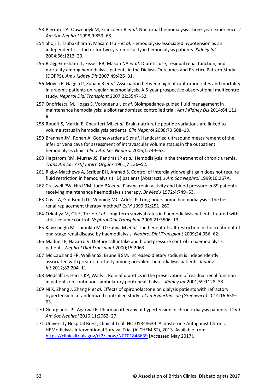- 253 Pierratos A, Ouwendyk M, Francoeur R *et al*. Nocturnal hemodialysis: three-year experience. *J Am Soc Nephrol* 1998;9:859–68.
- 254 Shoji T, Tsubakihara Y, Masamitsu F *et al*. Hemodialysis-associated hypotension as an independent risk factor for two-year mortality in hemodialysis patients. *Kidney Int*  2004;66:1212–20.
- 255 Bragg-Gresham JL, Fissell RB, Mason NA *et al*. Diuretic use, residual renal function, and mortality among hemodialysis patients in the Dialysis Outcomes and Practice Pattern Study (DOPPS). *Am J Kidney Dis* 2007;49:426–31.
- 256 Movilli E, Gaggia P, Zubani R *et al*. Association between high ultrafiltration rates and mortality in uraemic patients on regular haemodialysis. A 5-year prospective observational multicentre study. *Nephrol Dial Transplant* 2007;22:3547–52.
- 257 Onofriescu M, Hogas S, Voroneanu L *et al*. Bioimpedance-guided fluid management in maintenance hemodialysis: a pilot randomized controlled trial. *Am J Kidney Dis* 2014;64:111– 8.
- 258 Roueff S, Martin E, Chauffert ML *et al*. Brain natriuretic peptide variations are linked to volume status in hemodialysis patients. *Clin Nephrol* 2008;70:508–13.
- 259 Brennan JM, Ronan A, Goonewardena S *et al*. Handcarried ultrasound measurement of the inferior vena cava for assessment of intravascular volume status in the outpatient hemodialysis clinic. *Clin J Am Soc Nephrol* 2006;1:749–53.
- 260 Hegstrom RM, Murray JS, Pendras JP *et al*. Hemodialysis in the treatment of chronic uremia. *Trans Am Soc Artif Intern Organs* 1961;7:136–52.
- 261 Rigby-Matthews A, Scriber BH, Ahmad S. Control of interdialytic weight gain does not require fluid restriction in hemodialysis (HD) patients (Abstract). *J Am Soc Nephrol* 1999;10:267A.
- 262 Craswell PW, Hird VM, Judd PA *et al*. Plasma renin activity and blood pressure in 89 patients receiving maintenance haemodialysis therapy. *Br Med J* 1972;4:749–53.
- 263 Covic A, Goldsmith DJ, Venning MC, Ackrill P. Long-hours home haemodialysis the best renal replacement therapy method? *QJM* 1999;92:251–260.
- 264 Ozkahya M, Ok E, Toz H *et al*. Long-term survival rates in haemodialysis patients treated with strict volume control. *Nephrol Dial Transplant* 2006;21:3506–13.
- 265 Kayikcioglu M, Tumuklu M, Ozkahya M *et al*. The benefit of salt restriction in the treatment of end-stage renal disease by haemodialysis. *Nephrol Dial Transplant* 2009;24:956–62.
- 266 Maduell F, Navarro V. Dietary salt intake and blood pressure control in haemodialysis patients. *Nephrol Dial Transplant* 2000;15:2063.
- 267 Mc Causland FR, Waikar SS, Brunelli SM. Increased dietary sodium is independently associated with greater mortality among prevalent hemodialysis patients. *Kidney Int* 2012;82:204–11.
- 268 Medcalf JF, Harris KP, Walls J. Role of diuretics in the preservation of residual renal function in patients on continuous ambulatory peritoneal dialysis. *Kidney Int* 2001;59:1128–33.
- 269 Ni X, Zhang J, Zhang P *et al*. Effects of spironolactone on dialysis patients with refractory hypertension: a randomized controlled study. *J Clin Hypertension (Greenwich)* 2014;16:658– 63.
- 270 Georgianos PI, Agarwal R. Pharmacotherapy of hypertension in chronic dialysis patients. *Clin J Am Soc Nephrol* 2016;11:2062–27.
- 271 University Hospital Brest, Clinical Trial: NCT01848639: ALdosterone Antagonist Chronic HEModialysis Interventional Survival Trial (ALCHEMIST), 2013. Available from <https://clinicaltrials.gov/ct2/show/NCT01848639> [Accessed May 2017].